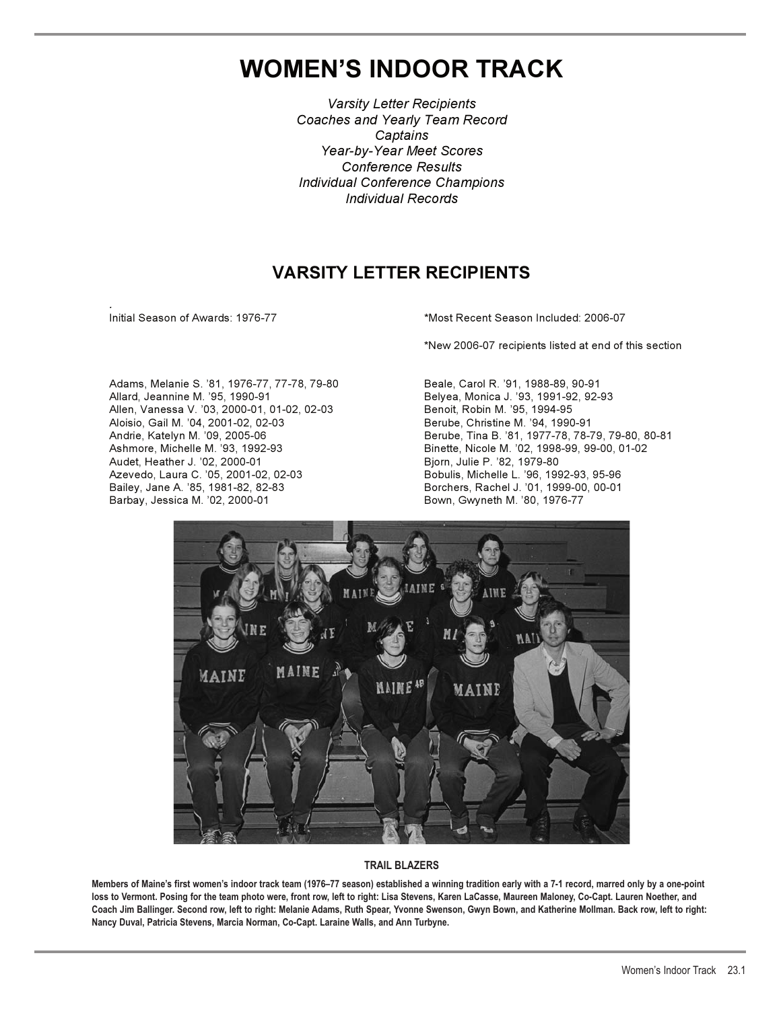## **WOMEN'S INDOOR TRACK**

*Varsity Letter Recipients Coaches and Yearly Team Record Captains Year-by-Year Meet Scores Conference Results Individual Conference Champions Individual Records*

## **VARSITY LETTER RECIPIENTS**

*.*

Initial Season of Awards: 1976-77 **\*Most Recent Season Included: 2006-07** 

\*New 2006-07 recipients listed at end of this section

Adams, Melanie S. '81, 1976-77, 77-78, 79-80 Beale, Carol R. '91, 1988-89, 90-91 Allard, Jeannine M. '95, 1990-91 Belyea, Monica J. '93, 1991-92, 92-93 Allen, Vanessa V. '03, 2000-01, 01-02, 02-03 Benoit, Robin M. '95, 1994-95 Aloisio, Gail M. '04, 2001-02, 02-03 Berube, Christine M. '94, 1990-91 Ashmore, Michelle M. '93, 1992-93 Binette, Nicole M. '02, 1998-99, 99-00, 01-02 Audet, Heather J. '02, 2000-01 Bjorn, Julie P. '82, 1979-80 Azevedo, Laura C. '05, 2001-02, 02-03 Bobulis, Michelle L. '96, 1992-93, 95-96 Bailey, Jane A. '85, 1981-82, 82-83 Borchers, Rachel J. '01, 1999-00, 00-01 Barbay, Jessica M. '02, 2000-01 **Bown, Gwyneth M. '80, 1976-77** 

Andrie, Katelyn M. '09, 2005-06 Berube, Tina B. '81, 1977-78, 78-79, 79-80, 80-81



## **TRAIL BLAZERS**

**Members of Maine's first women's indoor track team (1976–77 season) established a winning tradition early with a 7-1 record, marred only by a one-point loss to Vermont. Posing for the team photo were, front row, left to right: Lisa Stevens, Karen LaCasse, Maureen Maloney, Co-Capt. Lauren Noether, and Coach Jim Ballinger. Second row, left to right: Melanie Adams, Ruth Spear, Yvonne Swenson, Gwyn Bown, and Katherine Mollman. Back row, left to right: Nancy Duval, Patricia Stevens, Marcia Norman, Co-Capt. Laraine Walls, and Ann Turbyne.**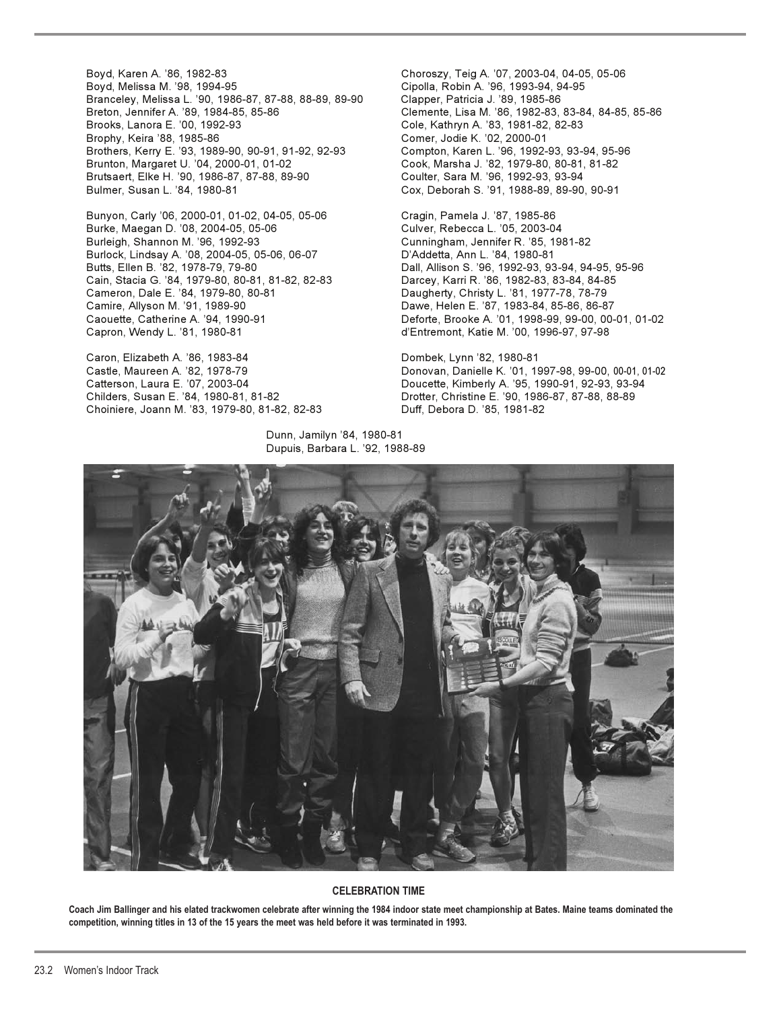Boyd, Karen A. '86, 1982-83 Choroszy, Teig A. '07, 2003-04, 04-05, 05-06 Boyd, Melissa M. '98, 1994-95 Cipolla, Robin A. '96, 1993-94, 94-95 Branceley, Melissa L. '90, 1986-87, 87-88, 88-89, 89-90 Clapper, Patricia J. '89, 1985-86 Breton, Jennifer A. '89, 1984-85, 85-86 Clemente, Lisa M. '86, 1982-83, 83-84, 84-85, 85-86 Brophy, Keira '88, 1985-86 Comer, Jodie K. '02, 2000-01 Brothers, Kerry E. '93, 1989-90, 90-91, 91-92, 92-93 Compton, Karen L. '96, 1992-93, 93-94, 95-96 Brunton, Margaret U. '04, 2000-01, 01-02 Cook, Marsha J. '82, 1979-80, 80-81, 81-82 Brutsaert, Elke H. '90, 1986-87, 87-88, 89-90 Coulter, Sara M. '96, 1992-93, 93-94 Bulmer, Susan L. '84, 1980-81 Cox, Deborah S. '91, 1988-89, 89-90, 90-91

Bunyon, Carly '06, 2000-01, 01-02, 04-05, 05-06 Cragin, Pamela J. '87, 1985-86 Burke, Maegan D. '08, 2004-05, 05-06 Culver, Rebecca L. '05, 2003-04 Burleigh, Shannon M. '96, 1992-93 Cunningham, Jennifer R. '85, 1981-82 Burlock, Lindsay A. '08, 2004-05, 05-06, 06-07 D'Addetta, Ann L. '84, 1980-81 Butts, Ellen B. '82, 1978-79, 79-80 Dall, Allison S. '96, 1992-93, 93-94, 94-95, 95-96 Cain, Stacia G. '84, 1979-80, 80-81, 81-82, 82-83 Darcey, Karri R. '86, 1982-83, 83-84, 84-85 Cameron, Dale E. '84, 1979-80, 80-81 Daugherty, Christy L. '81, 1977-78, 78-79 Camire, Allyson M. '91, 1989-90 Dawe, Helen E. '87, 1983-84, 85-86, 86-87 Capron, Wendy L. '81, 1980-81 d'Entremont, Katie M. '00, 1996-97, 97-98

Caron, Elizabeth A. '86, 1983-84 Dombek, Lynn '82, 1980-81 Childers, Susan E. '84, 1980-81, 81-82 Drotter, Christine E. '90, 1986-87, 87-88, 88-89 Choiniere, Joann M. '83, 1979-80, 81-82, 82-83 Duff, Debora D. '85, 1981-82

 Dunn, Jamilyn '84, 1980-81 Dupuis, Barbara L. '92, 1988-89

Cole, Kathryn A. '83, 1981-82, 82-83

Caouette, Catherine A. '94, 1990-91 Deforte, Brooke A. '01, 1998-99, 99-00, 00-01, 01-02

Castle, Maureen A. '82, 1978-79 Donovan, Danielle K. '01, 1997-98, 99-00, 00-01, 01-02 Catterson, Laura E. '07, 2003-04 Doucette, Kimberly A. '95, 1990-91, 92-93, 93-94



## **CELEBRATION TIME**

**Coach Jim Ballinger and his elated trackwomen celebrate after winning the 1984 indoor state meet championship at Bates. Maine teams dominated the competition, winning titles in 13 of the 15 years the meet was held before it was terminated in 1993.**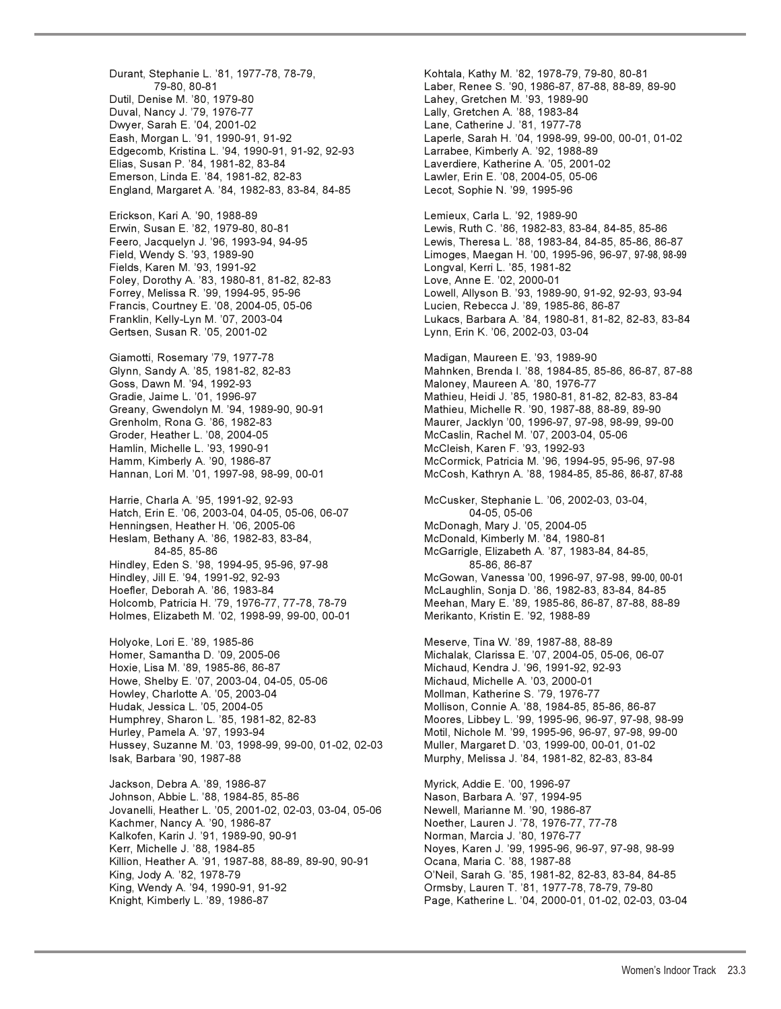Durant, Stephanie L. '81, 1977-78, 78-79, Kohtala, Kathy M. '82, 1978-79, 79-80, 80-81 Dutil, Denise M. '80, 1979-80 Lahey, Gretchen M. '93, 1989-90 Duval, Nancy J. '79, 1976-77 Lally, Gretchen A. '88, 1983-84 Eash, Morgan L. '91, 1990-91, 91-92 Laperle, Sarah H. '04, 1998-99, 99-00, 00-01, 01-02 Edgecomb, Kristina L. '94, 1990-91, 91-92, 92-93 Larrabee, Kimberly A. '92, 1988-89 Elias, Susan P. '84, 1981-82, 83-84 Laverdiere, Katherine A. '05, 2001-02 Emerson, Linda E. '84, 1981-82, 82-83 Lawler, Erin E. '08, 2004-05, 05-06 England, Margaret A. '84, 1982-83, 83-84, 84-85 Lecot, Sophie N. '99, 1995-96 Erickson, Kari A. '90, 1988-89 Lemieux, Carla L. '92, 1989-90 Erwin, Susan E. '82, 1979-80, 80-81 Lewis, Ruth C. '86, 1982-83, 83-84, 84-85, 85-86 Feero, Jacquelyn J. '96, 1993-94, 94-95 Lewis, Theresa L. '88, 1983-84, 84-85, 85-86, 86-87 Field, Wendy S. '93, 1989-90 Limoges, Maegan H. '00, 1995-96, 96-97, 97-98, 98-99 Fields, Karen M. '93, 1991-92 Longval, Kerri L. '85, 1981-82 Foley, Dorothy A. '83, 1980-81, 81-82, 82-83 Love, Anne E. '02, 2000-01 Forrey, Melissa R. '99, 1994-95, 95-96 Lowell, Allyson B. '93, 1989-90, 91-92, 92-93, 93-94 Francis, Courtney E. '08, 2004-05, 05-06 Lucien, Rebecca J. '89, 1985-86, 86-87 Gertsen, Susan R. '05, 2001-02 Lynn, Erin K. '06, 2002-03, 03-04 Giamotti, Rosemary '79, 1977-78 Madigan, Maureen E. '93, 1989-90<br>Glynn, Sandy A. '85, 1981-82, 82-83 Mahnken, Brenda I. '88, 1984-85, 8 Goss, Dawn M. '94, 1992-93 Maloney, Maureen A. '80, 1976-77 Gradie, Jaime L. '01, 1996-97 Mathieu, Heidi J. '85, 1980-81, 81-82, 82-83, 83-84 Greany, Gwendolyn M. '94, 1989-90, 90-91 Mathieu, Michelle R. '90, 1987-88, 88-89, 89-90 Grenholm, Rona G. '86, 1982-83 Maurer, Jacklyn '00, 1996-97, 97-98, 98-99, 99-00 Groder, Heather L. '08, 2004-05 McCaslin, Rachel M. '07, 2003-04, 05-06 Hamm, Kimberly A. '90, 1986-87 McCormick, Patricia M. '96, 1994-95, 95-96, 97-98 Hannan, Lori M. '01, 1997-98, 98-99, 00-01 McCosh, Kathryn A. '88, 1984-85, 85-86, 86-87, 87-88 Harrie, Charla A. '95, 1991-92, 92-93 McCusker, Stephanie L. '06, 2002-03, 03-04, Hatch, Erin E. '06, 2003-04, 04-05, 05-06, 06-07 04-05, 05-06 Henningsen, Heather H. '06, 2005-06 Heslam, Bethany A. '86, 1982-83, 83-84, McDonald, Kimberly M. '84, 1980-81 Hindley, Eden S. '98, 1994-95, 95-96, 97-98 85-86, 86-87 Hindley, Jill E. '94, 1991-92, 92-93 McGowan, Vanessa '00, 1996-97, 97-98, 99-00, 00-01 Hoefler, Deborah A. '86, 1983-84 McLaughlin, Sonja D. '86, 1982-83, 83-84, 84-85 Holcomb, Patricia H. '79, 1976-77, 77-78, 78-79 Meehan, Mary E. '89, 1985-86, 86-87, 87-88, 88-89 Holmes, Elizabeth M. '02, 1998-99, 99-00, 00-01 Holyoke, Lori E. '89, 1985-86 Meserve, Tina W. '89, 1987-88, 88-89 Homer, Samantha D. '09, 2005-06 Michalak, Clarissa E. '07, 2004-05, 05-06, 06-07 Hoxie, Lisa M. '89, 1985-86, 86-87 Michaud, Kendra J. '96, 1991-92, 92-93 Howe, Shelby E. '07, 2003-04, 04-05, 05-06 Michaud, Michelle A. '03, 2000-01 Howley, Charlotte A. '05, 2003-04 Mollman, Katherine S. '79, 1976-77 Hudak, Jessica L. '05, 2004-05 Mollison, Connie A. '88, 1984-85, 85-86, 86-87 Humphrey, Sharon L. '85, 1981-82, 82-83 Moores, Libbey L. '99, 1995-96, 96-97, 97-98, 98-99 Hurley, Pamela A. '97, 1993-94 Motil, Nichole M. '99, 1995-96, 96-97, 97-98, 99-00 Hussey, Suzanne M. '03, 1998-99, 99-00, 01-02, 02-03 Muller, Margaret D. '03, 1999-00, 00-01, 01-02 Isak, Barbara '90, 1987-88 Murphy, Melissa J. '84, 1981-82, 82-83, 83-84 Jackson, Debra A. '89, 1986-87 Myrick, Addie E. '00, 1996-97 Johnson, Abbie L. '88, 1984-85, 85-86 Jovanelli, Heather L. '05, 2001-02, 02-03, 03-04, 05-06 Newell, Marianne M. '90, 1986-87 Kachmer, Nancy A. '90, 1986-87 Noether, Lauren J. '78, 1976-77, 77-78 Kalkofen, Karin J. '91, 1989-90, 90-91 Norman, Marcia J. '80, 1976-77 Killion, Heather A. '91, 1987-88, 88-89, 89-90, 90-91 Ocana, Maria C. '88, 1987-88 King, Jody A. '82, 1978-79 O'Neil, Sarah G. '85, 1981-82, 82-83, 83-84, 84-85 King, Wendy A. '94, 1990-91, 91-92 Ormsby, Lauren T. '81, 1977-78, 78-79, 79-80

79-80, 80-81 Laber, Renee S. '90, 1986-87, 87-88, 88-89, 89-90 Lane, Catherine J. '81, 1977-78 Franklin, Kelly-Lyn M. '07, 2003-04 Lukacs, Barbara A. '84, 1980-81, 81-82, 82-83, 83-84 Mahnken, Brenda I. '88, 1984-85, 85-86, 86-87, 87-88 McCleish, Karen F. '93, 1992-93 84-85, 85-86 McGarrigle, Elizabeth A. '87, 1983-84, 84-85, Noyes, Karen J. '99, 1995-96, 96-97, 97-98, 98-99 Knight, Kimberly L. '89, 1986-87 Page, Katherine L. '04, 2000-01, 01-02, 02-03, 03-04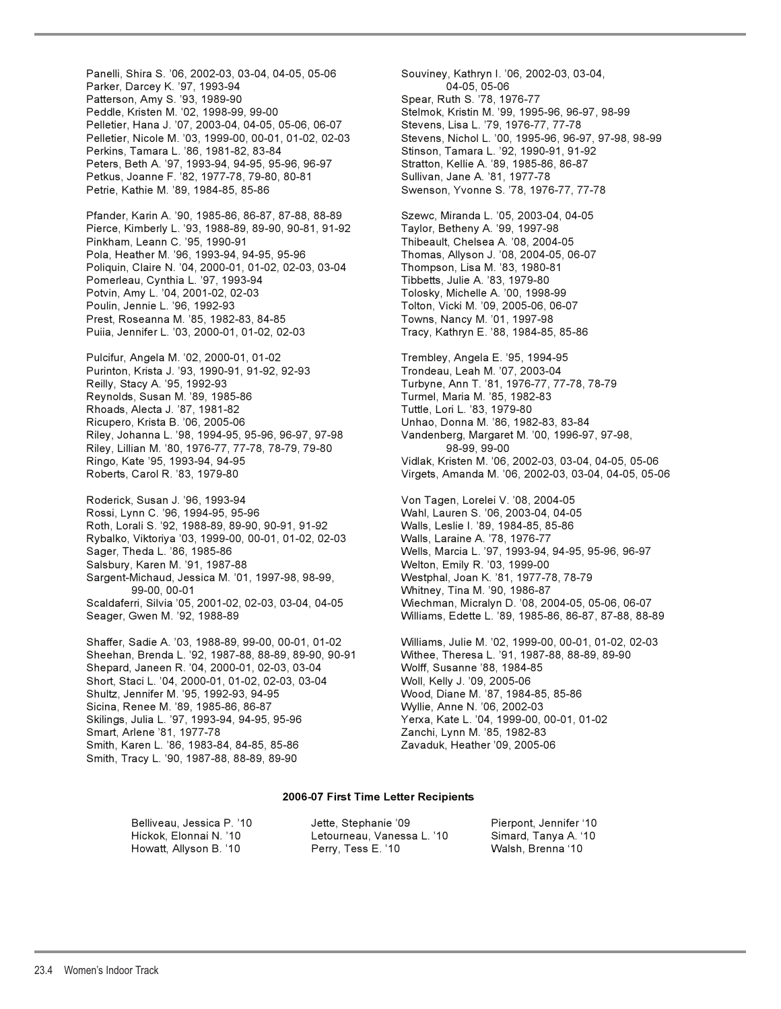Panelli, Shira S. '06, 2002-03, 03-04, 04-05, 05-06 Souviney, Kathryn I. '06, 2002-03, 03-04, Parker, Darcey K. '97, 1993-94 04-05, 05-06 Patterson, Amy S. '93, 1989-90 Spear, Ruth S. '78, 1976-77 Peddle, Kristen M. '02, 1998-99, 99-00 Stelmok, Kristin M. '99, 1995-96, 96-97, 98-99 Pelletier, Hana J. '07, 2003-04, 04-05, 05-06, 06-07 Pelletier, Nicole M. '03, 1999-00, 00-01, 01-02, 02-03 Stevens, Nichol L. '00, 1995-96, 96-97, 97-98, 98-99 Perkins, Tamara L. '86, 1981-82, 83-84 Stinson, Tamara L. '92, 1990-91, 91-92 Peters, Beth A. '97, 1993-94, 94-95, 95-96, 96-97 Stratton, Kellie A. '89, 1985-86, 86-87 Petkus, Joanne F. '82, 1977-78, 79-80, 80-81 Sullivan, Jane A. '81, 1977-78 Petrie, Kathie M. '89, 1984-85, 85-86 Swenson, Yvonne S. '78, 1976-77, 77-78

Pfander, Karin A. '90, 1985-86, 86-87, 87-88, 88-89 Szewc, Miranda L. '05, 2003-04, 04-05 Pierce, Kimberly L. '93, 1988-89, 89-90, 90-81, 91-92 Taylor, Betheny A. '99, 1997-98 Pinkham, Leann C. '95, 1990-91 Thibeault, Chelsea A. '08, 2004-05 Pola, Heather M. '96, 1993-94, 94-95, 95-96 Thomas, Allyson J. '08, 2004-05, 06-07 Poliquin, Claire N. '04, 2000-01, 01-02, 02-03, 03-04 Thompson, Lisa M. '83, 1980-81 Pomerleau, Cynthia L. '97, 1993-94 Tibbetts, Julie A. '83, 1979-80 Potvin, Amy L. '04, 2001-02, 02-03 Tolosky, Michelle A. '00, 1998-99 Poulin, Jennie L. '96, 1992-93 Tolton, Vicki M. '09, 2005-06, 06-07 Prest, Roseanna M. '85, 1982-83, 84-85 Towns, Nancy M. '01, 1997-98 Puiia, Jennifer L. '03, 2000-01, 01-02, 02-03 Tracy, Kathryn E. '88, 1984-85, 85-86

Pulcifur, Angela M. '02, 2000-01, 01-02 Trembley, Angela E. '95, 1994-95 Purinton, Krista J. '93, 1990-91, 91-92, 92-93 Trondeau, Leah M. '07, 2003-04 Reilly, Stacy A. '95, 1992-93 Turbyne, Ann T. '81, 1976-77, 77-78, 78-79 Reynolds, Susan M. '89, 1985-86 Turmel, Maria M. '85, 1982-83 Rhoads, Alecta J. '87, 1981-82 Tuttle, Lori L. '83, 1979-80 Ricupero, Krista B. '06, 2005-06 Unhao, Donna M. '86, 1982-83, 83-84 Riley, Johanna L. '98, 1994-95, 95-96, 96-97, 97-98 Vandenberg, Margaret M. '00, 1996-97, 97-98, Riley, Lillian M. '80, 1976-77, 77-78, 78-79, 79-80 Ringo, Kate '95, 1993-94, 94-95 Vidlak, Kristen M. '06, 2002-03, 03-04, 04-05, 05-06

Roderick, Susan J. '96, 1993-94 Von Tagen, Lorelei V. '08, 2004-05 Rossi, Lynn C. '96, 1994-95, 95-96 Wahl, Lauren S. '06, 2003-04, 04-05 Roth, Lorali S. '92, 1988-89, 89-90, 90-91, 91-92 Walls, Leslie I. '89, 1984-85, 85-86 Rybalko, Viktoriya '03, 1999-00, 00-01, 01-02, 02-03 Walls, Laraine A. '78, 1976-77 Sager, Theda L. '86, 1985-86 Wells, Marcia L. '97, 1993-94, 94-95, 95-96, 96-97 Salsbury, Karen M. '91, 1987-88 Welton, Emily R. '03, 1999-00 Sargent-Michaud, Jessica M. '01, 1997-98, 98-99, Westphal, Joan K. '81, 1977-78, 78-79 99-00, 00-01 Whitney, Tina M. '90, 1986-87 Scaldaferri, Silvia '05, 2001-02, 02-03, 03-04, 04-05 Wiechman, Micralyn D. '08, 2004-05, 05-06, 06-07 Seager, Gwen M. '92, 1988-89 Williams, Edette L. '89, 1985-86, 86-87, 87-88, 88-89

Sheehan, Brenda L. '92, 1987-88, 88-89, 89-90, 90-91 Withee, Theresa L. '91, 1987-88, 88-89, 89-90 Shepard, Janeen R. '04, 2000-01, 02-03, 03-04 Wolff, Susanne '88, 1984-85 Short, Staci L. '04, 2000-01, 01-02, 02-03, 03-04 Woll, Kelly J. '09, 2005-06 Shultz, Jennifer M. '95, 1992-93, 94-95 Wood, Diane M. '87, 1984-85, 85-86 Sicina, Renee M. '89, 1985-86, 86-87 Wyllie, Anne N. '06, 2002-03 Skilings, Julia L. '97, 1993-94, 94-95, 95-96 Yerxa, Kate L. '04, 1999-00, 00-01, 01-02 Smart, Arlene '81, 1977-78 Zanchi, Lynn M. '85, 1982-83 Smith, Karen L. '86, 1983-84, 84-85, 85-86 Zavaduk, Heather '09, 2005-06 Smith, Tracy L. '90, 1987-88, 88-89, 89-90

Roberts, Carol R. '83, 1979-80 Virgets, Amanda M. '06, 2002-03, 03-04, 04-05, 05-06 Shaffer, Sadie A. '03, 1988-89, 99-00, 00-01, 01-02 Williams, Julie M. '02, 1999-00, 00-01, 01-02, 02-03

### **2006-07 First Time Letter Recipients**

| Belliveau. Jessica P. '10_ | Jette, Stephanie '09       | Pierpont, Jennifer '10 |
|----------------------------|----------------------------|------------------------|
| Hickok. Elonnai N. '10     | Letourneau, Vanessa L. '10 | Simard, Tanya A. '10   |
| Howatt, Allyson B. '10     | Perry, Tess E. '10         | Walsh, Brenna '10      |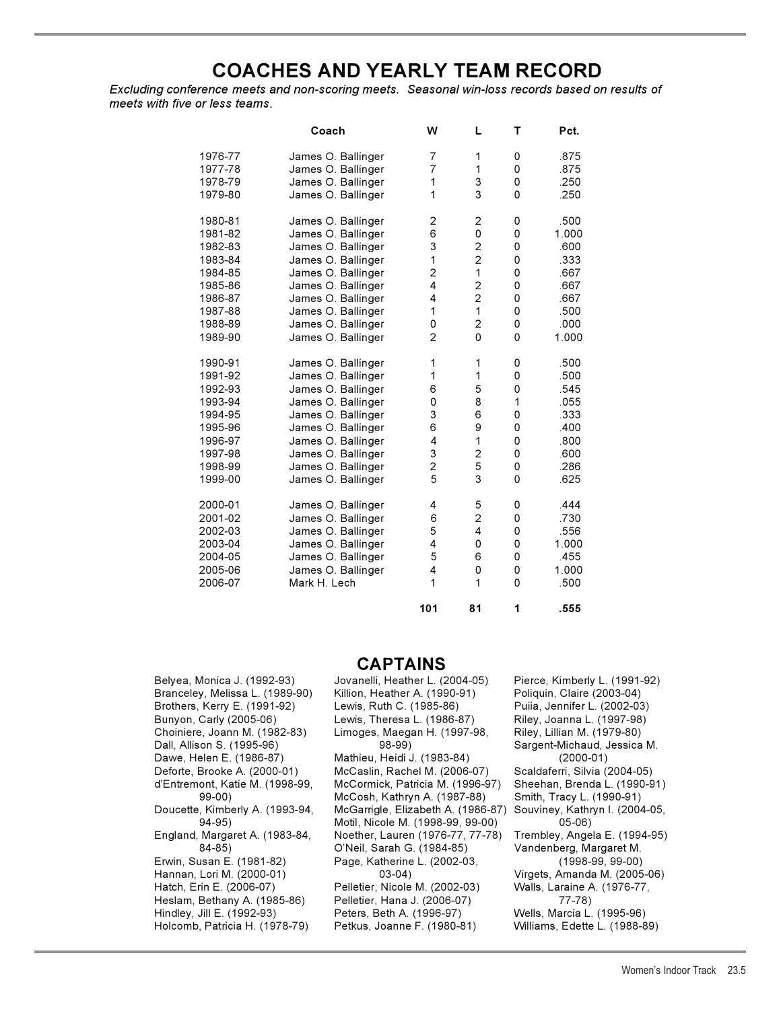## **COACHES AND YEARLY TEAM RECORD**

*Excluding conference meets and non-scoring meets. Seasonal win-loss records based on results of meets with five or less teams.*

|         | Coach              | W              | L                       | т        | Pct.  |
|---------|--------------------|----------------|-------------------------|----------|-------|
| 1976-77 | James O. Ballinger | 7              | 1                       | 0        | .875  |
| 1977-78 | James O. Ballinger | 7              | 1                       | 0        | .875  |
| 1978-79 | James O. Ballinger | 1              | 3                       | 0        | .250  |
| 1979-80 | James O. Ballinger | 1              | 3                       | 0        | .250  |
| 1980-81 | James O. Ballinger | 2              | $\overline{\mathbf{c}}$ | 0        | .500  |
| 1981-82 | James O. Ballinger | 6              | 0                       | 0        | 1.000 |
| 1982-83 | James O. Ballinger | 3              | $\overline{c}$          | 0        | .600  |
| 1983-84 | James O. Ballinger | 1              | $\overline{c}$          | 0        | .333  |
| 1984-85 | James O. Ballinger | $\overline{c}$ | 1                       | 0        | .667  |
| 1985-86 | James O. Ballinger | 4              | $\overline{c}$          | 0        | .667  |
| 1986-87 | James O. Ballinger | 4              | $\overline{2}$          | 0        | .667  |
| 1987-88 | James O. Ballinger | 1              | 1                       | 0        | .500  |
| 1988-89 | James O. Ballinger | 0              | $\overline{2}$          | 0        | .000  |
| 1989-90 | James O. Ballinger | $\overline{2}$ | $\Omega$                | $\Omega$ | 1.000 |
| 1990-91 | James O. Ballinger | 1              | 1                       | 0        | .500  |
| 1991-92 | James O. Ballinger | 1              | 1                       | 0        | .500  |
| 1992-93 | James O. Ballinger | 6              | 5                       | 0        | .545  |
| 1993-94 | James O. Ballinger | 0              | 8                       | 1        | .055  |
| 1994-95 | James O. Ballinger | 3              | 6                       | 0        | .333  |
| 1995-96 | James O. Ballinger | 6              | 9                       | 0        | .400  |
| 1996-97 | James O. Ballinger | 4              | 1                       | 0        | .800  |
| 1997-98 | James O. Ballinger | 3              | $\overline{2}$          | 0        | .600  |
| 1998-99 | James O. Ballinger | $\overline{c}$ | 5                       | 0        | .286  |
| 1999-00 | James O. Ballinger | 5              | 3                       | $\Omega$ | .625  |
| 2000-01 | James O. Ballinger | 4              | 5                       | 0        | .444  |
| 2001-02 | James O. Ballinger | 6              | $\overline{2}$          | 0        | .730  |
| 2002-03 | James O. Ballinger | 5              | 4                       | 0        | .556  |
| 2003-04 | James O. Ballinger | 4              | 0                       | 0        | 1.000 |
| 2004-05 | James O. Ballinger | 5              | 6                       | 0        | .455  |
| 2005-06 | James O. Ballinger | 4              | 0                       | 0        | 1.000 |
| 2006-07 | Mark H. Lech       | 1              | 1                       | 0        | .500  |
|         |                    | 101            | 81                      | 1        | .555  |

## **CAPTAINS**

Brothers, Kerry E. (1991-92) Erwin, Susan E. (1981-82) Hindley, Jill E. (1992-93) Peters, Beth A. (1996-97) Wells, Marcia L. (1995-96) Holcomb, Patricia H. (1978-79) Petkus, Joanne F. (1980-81)

Belyea, Monica J. (1992-93) Jovanelli, Heather L. (2004-05) Pierce, Kimberly L. (1991-92) Branceley, Melissa L. (1989-90) Killion, Heather A. (1990-91) Poliquin, Claire (2003-04) Bunyon, Carly (2005-06) Lewis, Theresa L. (1986-87) Riley, Joanna L. (1997-98) Choiniere, Joann M. (1982-83) Limoges, Maegan H. (1997-98, Riley, Lillian M. (1979-80) Dall, Allison S. (1995-96) 98-99) Sargent-Michaud, Jessica M. Dawe, Helen E. (1986-87) Mathieu, Heidi J. (1983-84) (2000-01) Deforte, Brooke A. (2000-01) McCaslin, Rachel M. (2006-07) Scaldaferri, Silvia (2004-05) d'Entremont, Katie M. (1998-99, McCormick, Patricia M. (1996-97) Sheehan, Brenda L. (1990-91) McCosh, Kathryn A. (1987-88) Doucette, Kimberly A. (1993-94, McGarrigle, Elizabeth A. (1986-87) Souviney, Kathryn I. (2004-05, 94-95) Motil, Nicole M. (1998-99, 99-00) 05-06) England, Margaret A. (1983-84, Noether, Lauren (1976-77, 77-78) Trembley, Angela E. (1994-95) 84-85) O'Neil, Sarah G. (1984-85) Vandenberg, Margaret M. Hannan, Lori M. (2000-01) 03-04) Virgets, Amanda M. (2005-06) Hatch, Erin E. (2006-07) Pelletier, Nicole M. (2002-03) Walls, Laraine A. (1976-77, Heslam, Bethany A. (1985-86) Pelletier, Hana J. (2006-07) 77-78)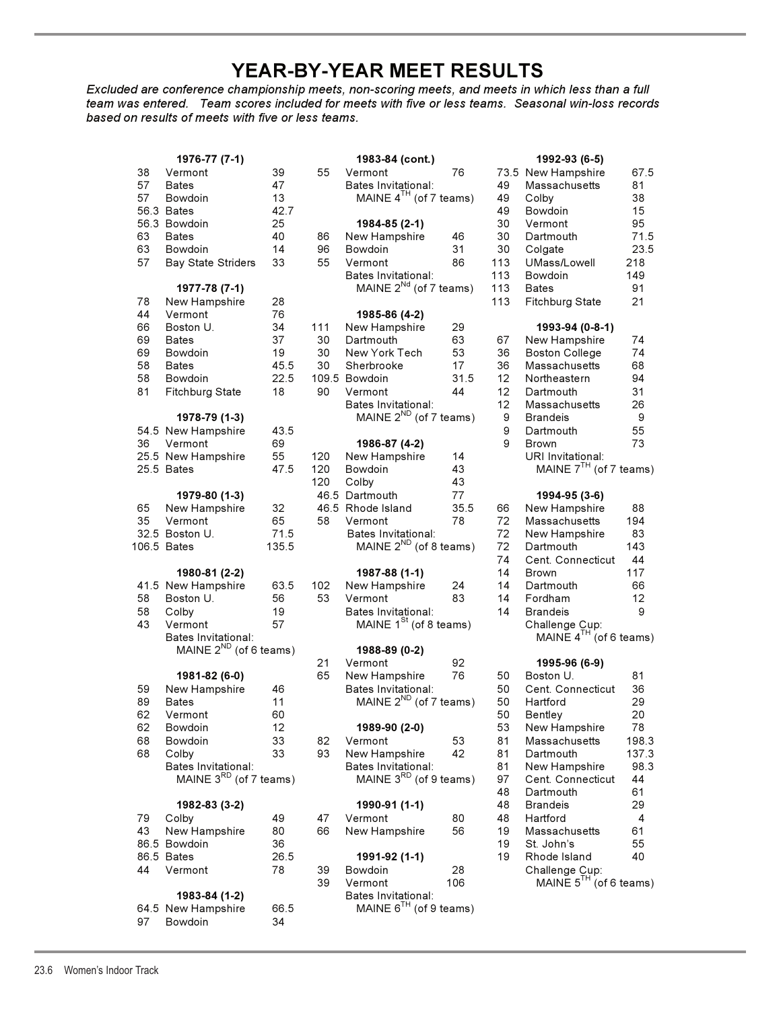## **YEAR-BY-YEAR MEET RESULTS**

*Excluded are conference championship meets, non-scoring meets, and meets in which less than a full team was entered. Team scores included for meets with five or less teams. Seasonal win-loss records based on results of meets with five or less teams.*

|          | 1976-77 (7-1)                      |          |     | 1983-84 (cont.)                                          |     |
|----------|------------------------------------|----------|-----|----------------------------------------------------------|-----|
| 38       | Vermont                            | 39       | 55  | Vermont                                                  | 76  |
| 57       | <b>Bates</b>                       | 47       |     | Bates Invitational:                                      |     |
| 57       | Bowdoin                            | 13       |     | MAINE 4 <sup>TH</sup> (of 7 teams                        |     |
|          | 56.3 Bates                         | 42.7     |     |                                                          |     |
|          | 56.3 Bowdoin                       | 25       |     | 1984-85 (2-1)                                            |     |
| 63       | <b>Bates</b>                       | 40       | 86  | New Hampshire                                            | 46  |
| 63       | Bowdoin                            | 14       | 96  | Bowdoin                                                  | 31  |
| 57       | <b>Bay State Striders</b>          | 33       | 55  | Vermont                                                  | 86  |
|          |                                    |          |     | Bates Invitational:<br>MAINE 2 <sup>Nd</sup> (of 7 teams |     |
|          | 1977-78 (7-1)                      |          |     |                                                          |     |
| 78<br>44 | New Hampshire<br>Vermont           | 28<br>76 |     | 1985-86 (4-2)                                            |     |
| 66       | Boston U.                          | 34       | 111 | New Hampshire                                            | 29  |
| 69       | Bates                              | 37       | 30  | Dartmouth                                                | 63  |
| 69       | Bowdoin                            | 19       | 30  | New York Tech                                            | 53  |
| 58       | <b>Bates</b>                       | 45.5     | 30  | Sherbrooke                                               | 17  |
| 58       | Bowdoin                            | 22.5     |     | 109.5 Bowdoin                                            | 31. |
| 81       | <b>Fitchburg State</b>             | 18       | 90  | Vermont                                                  | 44  |
|          |                                    |          |     | Bates Invitational:                                      |     |
|          | 1978-79 (1-3)                      |          |     | MAINE 2 <sup>ND</sup> (of 7 teams                        |     |
|          | 54.5 New Hampshire                 | 43.5     |     |                                                          |     |
| 36       | Vermont                            | 69       |     | 1986-87 (4-2)                                            |     |
|          | 25.5 New Hampshire                 | 55       | 120 | New Hampshire                                            | 14  |
|          | 25.5 Bates                         | 47.5     | 120 | Bowdoin                                                  | 43  |
|          |                                    |          | 120 | Colby                                                    | 43  |
|          | 1979-80 (1-3)                      |          |     | 46.5 Dartmouth                                           | 77  |
| 65       | New Hampshire                      | 32       |     | 46.5 Rhode Island                                        | 35. |
| 35       | Vermont                            | 65       | 58  | Vermont                                                  | 78  |
|          | 32.5 Boston U.                     | 71.5     |     | Bates Invitational:                                      |     |
|          | 106.5 Bates                        | 135.5    |     | MAINE $2^{ND}$ (of 8 teams                               |     |
|          |                                    |          |     |                                                          |     |
|          | 1980-81 (2-2)                      |          |     | 1987-88 (1-1)                                            |     |
|          | 41.5 New Hampshire                 | 63.5     | 102 | New Hampshire                                            | 24  |
| 58<br>58 | Boston U.                          | 56<br>19 | 53  | Vermont                                                  | 83  |
| 43       | Colby<br>Vermont                   | 57       |     | Bates Invitational:<br>MAINE 1 <sup>St</sup> (of 8 teams |     |
|          | Bates Invitational:                |          |     |                                                          |     |
|          | MAINE $2^{ND}$ (of 6 teams)        |          |     | 1988-89 (0-2)                                            |     |
|          |                                    |          | 21  | Vermont                                                  | 92  |
|          | 1981-82 (6-0)                      |          | 65  | New Hampshire                                            | 76  |
| 59       | New Hampshire                      | 46       |     | Bates Invitational:                                      |     |
| 89       | <b>Bates</b>                       | 11       |     | MAINE 2 <sup>ND</sup> (of 7 teams                        |     |
| 62       | Vermont                            | 60       |     |                                                          |     |
| 62       | Bowdoin                            | 12       |     | 1989-90 (2-0)                                            |     |
| 68       | Bowdoin                            | 33       | 82  | Vermont                                                  | 53  |
| 68       | Colby                              | 33       | 93  | New Hampshire                                            | 42  |
|          | Bates Invitational:                |          |     | Bates Invitational:                                      |     |
|          | MAINE 3 <sup>RD</sup> (of 7 teams) |          |     | MAINE 3 <sup>RD</sup> (of 9 teams                        |     |
|          |                                    |          |     |                                                          |     |
|          | 1982-83 (3-2)                      |          |     | 1990-91 (1-1)                                            |     |
| 79       | Colby                              | 49       | 47  | Vermont                                                  | 80  |
| 43       | New Hampshire                      | 80       | 66  | New Hampshire                                            | 56  |
|          | 86.5 Bowdoin                       | 36       |     |                                                          |     |
|          | 86.5 Bates                         | 26.5     |     | 1991-92 (1-1)                                            |     |
| 44       | Vermont                            | 78       | 39  | Bowdoin                                                  | 28  |
|          |                                    |          | 39  | Vermont                                                  | 106 |
|          | 1983-84 (1-2)<br>Now Hampshire     | 22 E     |     | Bates Invitational:<br>MAINE $e^{TH}$ (of 0 tooms        |     |

|    | 64.5 New Hampshire | OO. |
|----|--------------------|-----|
| 97 | Bowdoin            | 34  |

|    | 1976-77 (7-1)               |       |     | 1983-84 (cont.)                    |      |                 | 1992-93 (6-5)               |       |
|----|-----------------------------|-------|-----|------------------------------------|------|-----------------|-----------------------------|-------|
| 38 | Vermont                     | 39    | 55  | Vermont                            | 76   |                 | 73.5 New Hampshire          | 67.5  |
| 57 | <b>Bates</b>                | 47    |     | Bates Invitational:                |      | 49              | Massachusetts               | 81    |
| 57 | Bowdoin                     | 13    |     | MAINE $4^{TH}$ (of 7 teams)        |      | 49              | Colby                       | 38    |
|    | 56.3 Bates                  | 42.7  |     |                                    |      | 49              | Bowdoin                     | 15    |
|    | 56.3 Bowdoin                | 25    |     | 1984-85 (2-1)                      |      | 30              | Vermont                     | 95    |
| 63 | <b>Bates</b>                | 40    | 86  | New Hampshire                      | 46   | 30              | Dartmouth                   | 71.5  |
|    |                             |       |     |                                    |      |                 |                             |       |
| 63 | Bowdoin                     | 14    | 96  | Bowdoin                            | 31   | 30              | Colgate                     | 23.5  |
| 57 | <b>Bay State Striders</b>   | 33    | 55  | Vermont                            | 86   | 113             | UMass/Lowell                | 218   |
|    |                             |       |     | Bates Invitational:                |      | 113             | Bowdoin                     | 149   |
|    | 1977-78 (7-1)               |       |     | MAINE 2 <sup>Nd</sup> (of 7 teams) |      | 113             | <b>Bates</b>                | 91    |
| 78 | New Hampshire               | 28    |     |                                    |      | 113             | Fitchburg State             | 21    |
| 44 | Vermont                     | 76    |     | 1985-86 (4-2)                      |      |                 |                             |       |
| 66 | Boston U.                   | 34    | 111 | New Hampshire                      | 29   |                 | 1993-94 (0-8-1)             |       |
| 69 | <b>Bates</b>                | 37    | 30  | Dartmouth                          | 63   | 67              | New Hampshire               | 74    |
| 69 | Bowdoin                     | 19    | 30  | New York Tech                      | 53   | 36              | <b>Boston College</b>       | 74    |
| 58 | <b>Bates</b>                | 45.5  | 30  | Sherbrooke                         | 17   | 36              | Massachusetts               | 68    |
| 58 | Bowdoin                     | 22.5  |     | 109.5 Bowdoin                      | 31.5 | 12 <sup>°</sup> | Northeastern                | 94    |
| 81 | Fitchburg State             | 18    | 90  | Vermont                            | 44   | 12 <sup>°</sup> | Dartmouth                   | 31    |
|    |                             |       |     | Bates Invitational:                |      | 12 <sup>2</sup> | Massachusetts               | 26    |
|    | 1978-79 (1-3)               |       |     | MAINE $2^{ND}$ (of 7 teams)        |      | 9               | <b>Brandeis</b>             | 9     |
|    | 54.5 New Hampshire          | 43.5  |     |                                    |      | 9               | Dartmouth                   | 55    |
| 36 | Vermont                     | 69    |     | 1986-87 (4-2)                      |      | 9               | <b>Brown</b>                | 73    |
|    | 25.5 New Hampshire          | 55    | 120 | New Hampshire                      | 14   |                 | URI Invitational:           |       |
|    |                             |       |     |                                    |      |                 | MAINE $7^{TH}$ (of 7 teams) |       |
|    | 25.5 Bates                  | 47.5  | 120 | Bowdoin                            | 43   |                 |                             |       |
|    |                             |       | 120 | Colby                              | 43   |                 |                             |       |
|    | 1979-80 (1-3)               |       |     | 46.5 Dartmouth                     | 77   |                 | 1994-95 (3-6)               |       |
| 65 | New Hampshire               | 32    |     | 46.5 Rhode Island                  | 35.5 | 66              | New Hampshire               | 88    |
| 35 | Vermont                     | 65    | 58  | Vermont                            | 78   | 72              | Massachusetts               | 194   |
|    | 32.5 Boston U.              | 71.5  |     | Bates Invitational:                |      | 72              | New Hampshire               | 83    |
|    | 106.5 Bates                 | 135.5 |     | MAINE $2^{ND}$ (of 8 teams)        |      | 72              | Dartmouth                   | 143   |
|    |                             |       |     |                                    |      | 74              | Cent. Connecticut           | 44    |
|    | 1980-81 (2-2)               |       |     | 1987-88 (1-1)                      |      | 14              | Brown                       | 117   |
|    | 41.5 New Hampshire          | 63.5  | 102 | New Hampshire                      | 24   | 14              | Dartmouth                   | 66    |
| 58 | Boston U.                   | 56    | 53  | Vermont                            | 83   | 14              | Fordham                     | 12    |
| 58 | Colby                       | 19    |     | Bates Invitational:                |      | 14              | <b>Brandeis</b>             | 9     |
| 43 | Vermont                     | 57    |     | MAINE $1St$ (of 8 teams)           |      |                 | Challenge Cup:              |       |
|    | Bates Invitational:         |       |     |                                    |      |                 | MAINE $4^{TH}$ (of 6 teams) |       |
|    | MAINE $2^{ND}$ (of 6 teams) |       |     | 1988-89 (0-2)                      |      |                 |                             |       |
|    |                             |       | 21  | Vermont                            | 92   |                 | 1995-96 (6-9)               |       |
|    |                             |       |     |                                    |      |                 |                             |       |
|    | 1981-82 (6-0)               |       | 65  | New Hampshire                      | 76   | 50              | Boston U.                   | 81    |
| 59 | New Hampshire               | 46    |     | Bates Invitational:                |      | 50              | Cent. Connecticut           | 36    |
| 89 | Bates                       | 11    |     | MAINE 2 <sup>ND</sup> (of 7 teams) |      | 50              | Hartford                    | 29    |
| 62 | Vermont                     | 60    |     |                                    |      | 50              | Bentley                     | 20    |
| 62 | Bowdoin                     | 12    |     | 1989-90 (2-0)                      |      | 53              | New Hampshire               | 78    |
| 68 | Bowdoin                     | 33    | 82  | Vermont                            | 53   | 81              | Massachusetts               | 198.3 |
| 68 | Colby                       | 33    | 93  | New Hampshire                      | 42   | 81              | Dartmouth                   | 137.3 |
|    | Bates Invitational:         |       |     | Bates Invitational:                |      | 81              | New Hampshire               | 98.3  |
|    | MAINE $3^{RD}$ (of 7 teams) |       |     | MAINE $3^{RD}$ (of 9 teams)        |      | 97              | Cent. Connecticut           | 44    |
|    |                             |       |     |                                    |      | 48              | Dartmouth                   | 61    |
|    | 1982-83 (3-2)               |       |     | 1990-91 (1-1)                      |      | 48              | <b>Brandeis</b>             | 29    |
| 79 | Colby                       | 49    | 47  | Vermont                            | 80   | 48              | Hartford                    | 4     |
| 43 | New Hampshire               | 80    | 66  | New Hampshire                      | 56   | 19              | Massachusetts               | 61    |
|    | 86.5 Bowdoin                | 36    |     |                                    |      | 19              | St. John's                  | 55    |
|    | 86.5 Bates                  | 26.5  |     | 1991-92 (1-1)                      |      | 19              | Rhode Island                | 40    |
| 44 | Vermont                     | 78    | 39  | Bowdoin                            | 28   |                 | Challenge Cup:              |       |
|    |                             |       | 39  | Vermont                            | 106  |                 | MAINE $5^{TH}$ (of 6 teams) |       |
|    |                             |       |     |                                    |      |                 |                             |       |
|    | 1983-84 (1-2)               |       |     | Bates Invitational:                |      |                 |                             |       |
|    | 64.5 New Hampshire          | 66.5  |     | MAINE $6^{TH}$ (of 9 teams)        |      |                 |                             |       |
| 97 | Bowdoin                     | 34    |     |                                    |      |                 |                             |       |

| New Hampshire<br>Massachusetts<br>Colby<br>Bowdoin<br>Vermont<br>Dartmouth<br>Colgate<br>UMass/Lowell<br>Bowdoin<br><b>Bates</b><br><b>Fitchburg State</b>                                                                                                        | 67.5<br>81<br>38<br>15<br>95<br>71.5<br>23.5<br>218<br>149<br>91<br>21                                        |
|-------------------------------------------------------------------------------------------------------------------------------------------------------------------------------------------------------------------------------------------------------------------|---------------------------------------------------------------------------------------------------------------|
| 1993-94 (0-8-1)<br>New Hampshire<br><b>Boston College</b><br>Massachusetts<br>Northeastern<br>Dartmouth<br>Massachusetts<br><b>Brandeis</b><br>Dartmouth<br>Brown<br>URI Invitational:                                                                            | 74<br>74<br>68<br>94<br>31<br>26<br>9<br>55<br>73                                                             |
| 1994-95 (3-6)<br>New Hampshire<br>Massachusetts<br>New Hampshire<br>Dartmouth<br>Cent. Connecticut<br><b>Brown</b><br>Dartmouth<br>Fordham<br>Brandeis<br>Challenge Cup:<br>MAINE 4 <sup>TH</sup> (o                                                              | 88<br>194<br>83<br>143<br>44<br>117<br>66<br>12<br>9<br>(of 6 teams)                                          |
| 1995-96 (6-9)<br>Boston U.<br>Cent. Connecticut<br>Hartford<br>Bentley<br>New Hampshire<br>Massachusetts<br>Dartmouth<br>New Hampshire<br>Cent. Connecticut<br>Dartmouth<br>Brandeis<br>Hartford<br>Massachusetts<br>St. John's<br>Rhode Island<br>Challenge Cup: | 81<br>36<br>29<br>20<br>78<br>198.3<br>137.3<br>98.3<br>44<br>61<br>29<br>4<br>61<br>55<br>40<br>(of 6 teams) |
|                                                                                                                                                                                                                                                                   | 1992-93 (6-5)<br>MAINE $7TH$ (of 7 teams)<br>MAINE 5TH                                                        |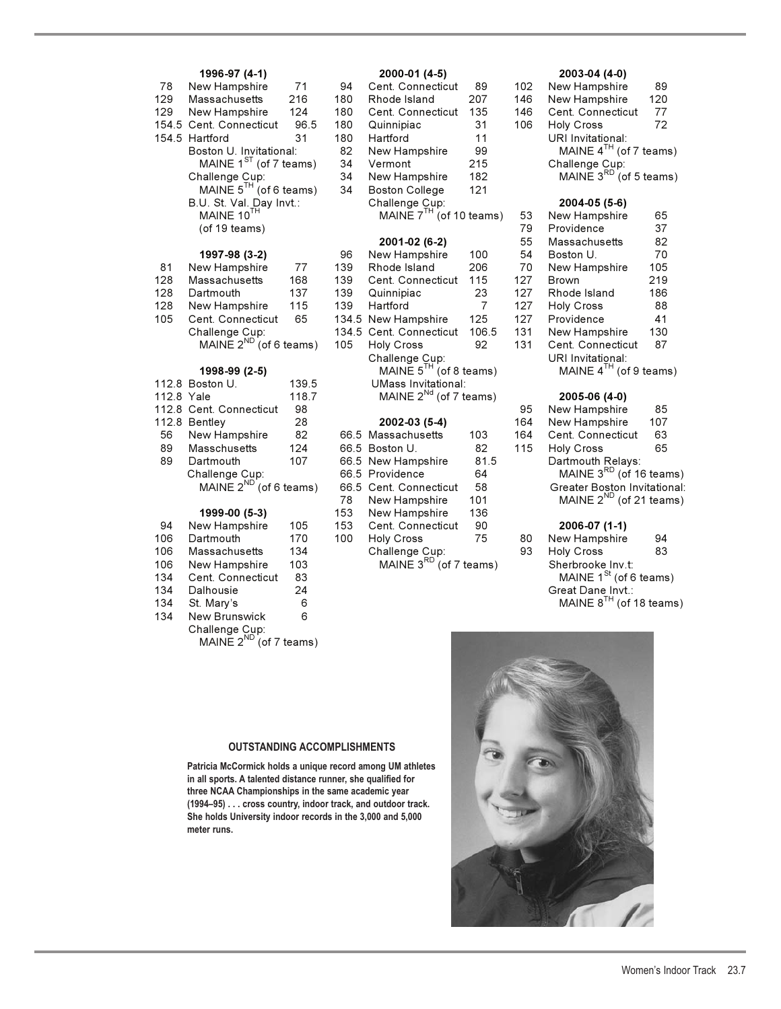### **1996-97 (4-1) 2000-01 (4-5) 2003-04 (4-0)**

| 78  | New Hampshire               | 71   | 94  | Cent. Connecticut            | 89  | 102 | New Hampshire              | 89  |
|-----|-----------------------------|------|-----|------------------------------|-----|-----|----------------------------|-----|
| 129 | Massachusetts               | 216  | 180 | Rhode Island                 | 207 | 146 | New Hampshire              | 120 |
| 129 | New Hampshire               | 124  | 180 | Cent. Connecticut            | 135 | 146 | Cent. Connecticut          | 77  |
|     | 154.5 Cent. Connecticut     | 96.5 | 180 | Quinnipiac                   | 31  | 106 | <b>Holv Cross</b>          | 72  |
|     | 154.5 Hartford              | 31   | 180 | Hartford                     | 11  |     | URI Invitational:          |     |
|     | Boston U. Invitational:     |      | 82  | New Hampshire                | 99  |     | MAINE $4^{TH}$ (of 7 teams |     |
|     | MAINE $1^{SI}$ (of 7 teams) |      | 34  | Vermont                      | 215 |     | Challenge Cup:             |     |
|     | Challenge Cup:              |      | 34  | New Hampshire                | 182 |     | MAINE 3RD (of 5 teams      |     |
|     | MAINE $5^{TH}$ (of 6 teams) |      | 34  | <b>Boston College</b>        | 121 |     |                            |     |
|     | B.U. St. Val. Day Invt.:    |      |     | Challenge Cup:               |     |     | 2004-05 (5-6)              |     |
|     | MAINE 10TH                  |      |     | MAINE $7^{TH}$ (of 10 teams) |     | 53  | New Hampshire              | 65  |
|     | (of 19 teams)               |      |     |                              |     | 79  | Providence                 | 37  |
|     |                             |      |     | 2001-02 (6-2)                |     | 55  | Massachusetts              | 82  |
|     | 1997-98 (3-2)               |      | 96  | New Hampshire                | 100 | 54  | Boston U.                  | 70  |
| 81  | New Hampshire               | 77   | 139 | Rhode Island                 | 206 | 70  | New Hampshire              | 105 |
| 128 | Massachusetts               | 168  | 139 | Cent. Connecticut            | 115 | 127 | <b>Brown</b>               | 219 |
|     |                             |      |     |                              |     |     |                            |     |

| 1 Z O | <u>Massachusells</u>        | 100 |     | 199 CENI. CONNECTICITI I I J                    |              | L   | <b>DIUWIL</b>     | 2 I J |
|-------|-----------------------------|-----|-----|-------------------------------------------------|--------------|-----|-------------------|-------|
| 128   | Dartmouth                   | 137 | 139 | Quinnipiac                                      | 23           | 127 | Rhode Island      | 186   |
|       | 128 New Hampshire           | 115 |     | 139 Hartford                                    | <sup>7</sup> |     | 127 Holy Cross    | 88    |
|       | 105 Cent. Connecticut       | 65  |     | 134.5 New Hampshire                             | 125          |     | 127 Providence    | 41    |
|       | Challenge Cup:              |     |     | 134.5 Cent. Connecticut 106.5 131 New Hampshire |              |     |                   | 130   |
|       | MAINE $2^{ND}$ (of 6 teams) |     |     | 105 Holy Cross                                  | 92           | 131 | Cent. Connecticut | 87    |

|            | 112.8 Boston U.             | 139.5 |     | <b>UMass Invitational:</b>  |      |     |                       |
|------------|-----------------------------|-------|-----|-----------------------------|------|-----|-----------------------|
| 112.8 Yale |                             | 118.7 |     | MAINE $2^{Nd}$ (of 7 teams) |      |     | 2005-06 (4-0)         |
|            | 112.8 Cent. Connecticut     | 98    |     |                             |      | 95  | New Hampshire         |
|            | 112.8 Bentley               | 28    |     | 2002-03 (5-4)               |      | 164 | New Hampshire         |
| 56         | New Hampshire               | 82    |     | 66.5 Massachusetts          | 103  | 164 | Cent. Connectio       |
| 89         | Masschusetts                | 124   |     | 66.5 Boston U.              | 82   | 115 | <b>Holy Cross</b>     |
| 89         | Dartmouth                   | 107   |     | 66.5 New Hampshire          | 81.5 |     | Dartmouth Rela        |
|            | Challenge Cup:              |       |     | 66.5 Providence             | 64   |     | MAINE $3^{RD}$ (o     |
|            | MAINE $2^{ND}$ (of 6 teams) |       |     | 66.5 Cent. Connecticut      | 58   |     | <b>Greater Boston</b> |
|            |                             |       | 78  | New Hampshire               | 101  |     | MAINE $2^{ND}$ (o     |
|            | 1999-00 (5-3)               |       | 153 | New Hampshire               | 136  |     |                       |
| 94         | New Hampshire               | 105   | 153 | Cent. Connecticut           | 90   |     | 2006-07 (1-1)         |
| 106        | Dartmouth                   | 170   | 100 | Holy Cross                  | 75   | 80  | New Hampshire         |

|     | TUU DATUNUUT             |     | 100 TIUR OIUSS              |  | <b>UU INGWIIGIIIIUSIIII G</b> | - 74 |
|-----|--------------------------|-----|-----------------------------|--|-------------------------------|------|
|     | 106 Massachusetts        | 134 | Challenge Cup:              |  | 93 Holy Cross                 | 83   |
|     | 106 New Hampshire        | 103 | MAINE $3^{RD}$ (of 7 teams) |  | Sherbrooke Inv.t:             |      |
|     | 134 Cent. Connecticut 83 |     |                             |  | MAINE $1^{St}$ (of 6 teams)   |      |
| 134 | Dalhousie                | 24  |                             |  | Great Dane Invt.:             |      |
|     | 134 St. Mary's           |     |                             |  | MAINE $8^{TH}$ (of 18 teams)  |      |

134 New Brunswick 6 Challenge Cup:<br>MAINE 2<sup>ND</sup> (of 7 teams)

| 70         | <b>New Hallipsillie</b>     | $\sqrt{1}$ | 94   | Cent. Connecticut            | ໐ສ             | 1 U Z | <b>New Hallipsillie</b>             | ໐ສ  |
|------------|-----------------------------|------------|------|------------------------------|----------------|-------|-------------------------------------|-----|
| 129        | Massachusetts               | 216        | 180  | Rhode Island                 | 207            | 146   | New Hampshire                       | 120 |
| 129        | New Hampshire               | 124        | 180  | Cent. Connecticut            | 135            | 146   | Cent. Connecticut                   | 77  |
|            | 154.5 Cent. Connecticut     | 96.5       | 180  | Quinnipiac                   | 31             | 106   | <b>Holy Cross</b>                   | 72  |
|            | 154.5 Hartford              | 31         | 180  | Hartford                     | 11             |       | URI Invitational:                   |     |
|            | Boston U. Invitational:     |            | 82   | New Hampshire                | 99             |       | MAINE $4^{TH}$ (of 7 teams)         |     |
|            | MAINE $1^{ST}$ (of 7 teams) |            | 34   | Vermont                      | 215            |       | Challenge Cup:                      |     |
|            | Challenge Cup:              |            | 34   | New Hampshire                | 182            |       | MAINE $3^{RD}$ (of 5 teams)         |     |
|            | MAINE $5^{H}$ (of 6 teams)  |            | 34   | <b>Boston College</b>        | 121            |       |                                     |     |
|            | B.U. St. Val. Day Invt.:    |            |      | Challenge Cup:               |                |       | 2004-05 (5-6)                       |     |
|            | MAINE 10TH                  |            |      | MAINE $7^{TH}$ (of 10 teams) |                | 53    | New Hampshire                       | 65  |
|            | (of 19 teams)               |            |      |                              |                | 79    | Providence                          | 37  |
|            |                             |            |      | 2001-02 (6-2)                |                | 55    | Massachusetts                       | 82  |
|            | 1997-98 (3-2)               |            | 96   | New Hampshire                | 100            | 54    | Boston U.                           | 70  |
| 81         | New Hampshire               | 77         | 139  | Rhode Island                 | 206            | 70    | New Hampshire                       | 105 |
| 128        | Massachusetts               | 168        | 139  | Cent. Connecticut            | 115            | 127   | <b>Brown</b>                        | 219 |
| 128        | Dartmouth                   | 137        | 139  | Quinnipiac                   | 23             | 127   | Rhode Island                        | 186 |
| 128        | New Hampshire               | 115        | 139  | Hartford                     | $\overline{7}$ | 127   | Holy Cross                          | 88  |
| 105        | Cent. Connecticut           | 65         |      | 134.5 New Hampshire          | 125            | 127   | Providence                          | 41  |
|            | Challenge Cup:              |            |      | 134.5 Cent. Connecticut      | 106.5          | 131   | New Hampshire                       | 130 |
|            | MAINE $2^{ND}$ (of 6 teams) |            | 105  | <b>Holy Cross</b>            | 92             | 131   | Cent. Connecticut                   | 87  |
|            |                             |            |      | Challenge Cup:               |                |       | URI Invitational:                   |     |
|            | 1998-99 (2-5)               |            |      | MAINE $5^{TH}$ (of 8 teams)  |                |       | MAINE $4^{TH}$ (of 9 teams)         |     |
|            | 112.8 Boston U.             | 139.5      |      | <b>UMass Invitational:</b>   |                |       |                                     |     |
| 112.8 Yale |                             | 118.7      |      | MAINE $2^{Nd}$ (of 7 teams)  |                |       | 2005-06 (4-0)                       |     |
|            | 112.8 Cent. Connecticut     | 98         |      |                              |                | 95    | New Hampshire                       | 85  |
|            | 112.8 Bentley               | 28         |      | 2002-03 (5-4)                |                | 164   | New Hampshire                       | 107 |
| 56         | New Hampshire               | 82         |      | 66.5 Massachusetts           | 103            | 164   | Cent. Connecticut                   | 63  |
| 89         | Masschusetts                | 124        |      | 66.5 Boston U.               | 82             | 115   | <b>Holy Cross</b>                   | 65  |
| 89         | Dartmouth                   | 107        |      | 66.5 New Hampshire           | 81.5           |       | Dartmouth Relays:                   |     |
|            | Challenge Cup:              |            |      | 66.5 Providence              | 64             |       | MAINE 3 <sup>RD</sup> (of 16 teams) |     |
|            | MAINE $2^{ND}$ (of 6 teams) |            | 66.5 | Cent. Connecticut            | 58             |       | <b>Greater Boston Invitational:</b> |     |
|            |                             |            | 78   | New Hampshire                | 101            |       | MAINE $2^{ND}$ (of 21 teams)        |     |
|            | 1999-00 (5-3)               |            | 153  | New Hampshire                | 136            |       |                                     |     |
| 94         | New Hampshire               | 105        | 153  | Cent. Connecticut            | 90             |       | 2006-07 (1-1)                       |     |

| 02 | New Hampshire                                        | 89  |
|----|------------------------------------------------------|-----|
| 46 | New Hampshire                                        | 120 |
| 46 | Cent. Connecticut                                    | 77  |
| 06 | <b>Holy Cross</b>                                    | 72  |
|    | URI Invitational:                                    |     |
|    | MAINE $4^{TH}$ (of 7 teams)                          |     |
|    | Challenge Cup:<br>MAINE 3 <sup>RD</sup> (of 5 teams) |     |
|    |                                                      |     |
|    |                                                      |     |

| allenge Cup:                 |       |     | 2004-05 (5-6)              |     |
|------------------------------|-------|-----|----------------------------|-----|
| MAINE $7^{TH}$ (of 10 teams) |       | 53  | New Hampshire              | 65  |
|                              |       | 79  | Providence                 | 37  |
| 2001-02 (6-2)                |       | 55  | Massachusetts              | 82  |
| ew Hampshire                 | 100   | 54  | Boston U.                  | 70  |
| <b>node Island</b>           | 206   | 70  | New Hampshire              | 105 |
| ent. Connecticut             | 115   | 127 | <b>Brown</b>               | 219 |
| uinnipiac                    | 23    | 127 | Rhode Island               | 186 |
| artford                      | 7     | 127 | <b>Holy Cross</b>          | 88  |
| ew Hampshire                 | 125   | 127 | Providence                 | 41  |
| ent. Connecticut             | 106.5 | 131 | New Hampshire              | 130 |
| <b>Div Cross</b>             | 92    | 131 | Cent. Connecticut          | 87  |
| nallenge Cup:                |       |     | URI Invitational:          |     |
| MAINE $5^{TH}$ (of 8 teams)  |       |     | MAINE $4^{TH}$ (of 9 teams |     |
| Maee Invitational:           |       |     |                            |     |

## 112.8 Yale 118.7 MAINE 2Nd (of 7 teams) **2005-06 (4-0)**

| 95 | New Hampshire                      | 85  |
|----|------------------------------------|-----|
| 64 | New Hampshire                      | 107 |
| 64 | Cent. Connecticut                  | 63  |
| 15 | <b>Holy Cross</b>                  | 65  |
|    | Dartmouth Relays:                  |     |
|    | MAINE 3RD (of 16 teams)            |     |
|    | <b>Greater Boston Invitational</b> |     |
|    | MAINE $2^{ND}$ (of 21 teams)       |     |
|    |                                    |     |
|    | 2006.07(1.1)                       |     |

# 106 Dartmouth 170 100 Holy Cross 75 80 New Hampshire 94 134 Cent. Connecticut 83 MAINE 1<sup>St</sup> (of 6 teams)

## **OUTSTANDING ACCOMPLISHMENTS**

**Patricia McCormick holds a unique record among UM athletes in all sports. A talented distance runner, she qualified for three NCAA Championships in the same academic year (1994–95) . . . cross country, indoor track, and outdoor track. She holds University indoor records in the 3,000 and 5,000 meter runs.**

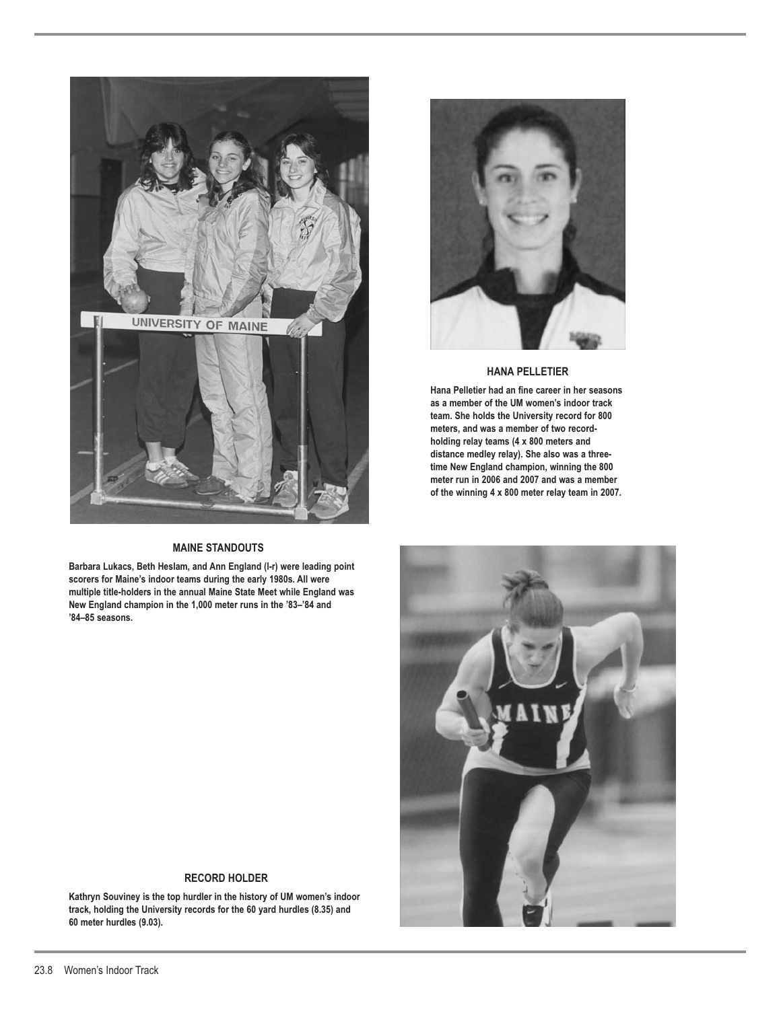

## **MAINE STANDOUTS**

**Barbara Lukacs, Beth Heslam, and Ann England (l-r) were leading point scorers for Maine's indoor teams during the early 1980s. All were multiple title-holders in the annual Maine State Meet while England was New England champion in the 1,000 meter runs in the '83–'84 and '84–85 seasons.**



## **HANA PELLETIER**

**Hana Pelletier had an fine career in her seasons as a member of the UM women's indoor track team. She holds the University record for 800 meters, and was a member of two recordholding relay teams (4 x 800 meters and distance medley relay). She also was a threetime New England champion, winning the 800 meter run in 2006 and 2007 and was a member of the winning 4 x 800 meter relay team in 2007.**



## **RECORD HOLDER**

**Kathryn Souviney is the top hurdler in the history of UM women's indoor track, holding the University records for the 60 yard hurdles (8.35) and 60 meter hurdles (9.03).**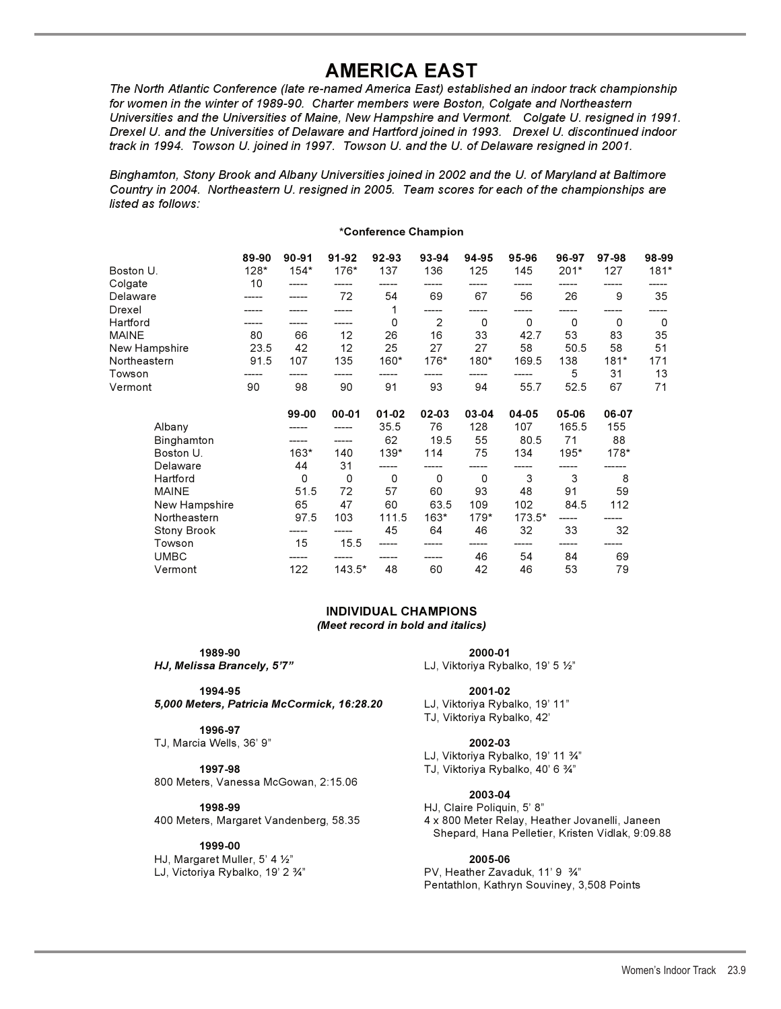## **AMERICA EAST**

*The North Atlantic Conference (late re-named America East) established an indoor track championship* for women in the winter of 1989-90. Charter members were Boston, Colgate and Northeastern *Universities and the Universities of Maine, New Hampshire and Vermont. Colgate U. resigned in 1991. Drexel U. and the Universities of Delaware and Hartford joined in 1993. Drexel U. discontinued indoor track in 1994. Towson U. joined in 1997. Towson U. and the U. of Delaware resigned in 2001.*

*Binghamton, Stony Brook and Albany Universities joined in 2002 and the U. of Maryland at Baltimore Country in 2004. Northeastern U. resigned in 2005. Team scores for each of the championships are listed as follows:*

## **\*Conference Champion**

| Boston U.          | 89-90<br>$128*$ | $90 - 91$<br>$154*$ | 91-92<br>176* | 92-93<br>137 | 93-94<br>136 | 94-95<br>125 | 95-96<br>145 | 96-97<br>$201*$ | 97-98<br>127 | 98-99<br>$181*$ |
|--------------------|-----------------|---------------------|---------------|--------------|--------------|--------------|--------------|-----------------|--------------|-----------------|
| Colgate            | 10              |                     |               |              |              |              |              |                 |              |                 |
| Delaware           |                 |                     | 72            | 54           | 69           | 67           | 56           | 26              | 9            | 35              |
| Drexel             |                 |                     |               | 1            |              |              |              |                 |              |                 |
| Hartford           |                 |                     |               | 0            | 2            | $\Omega$     | $\Omega$     | $\Omega$        | $\Omega$     | 0               |
| MAINE              | 80              | 66                  | 12            | 26           | 16           | 33           | 42.7         | 53              | 83           | 35              |
| New Hampshire      | 23.5            | 42                  | 12            | 25           | 27           | 27           | 58           | 50.5            | 58           | 51              |
| Northeastern       | 91.5            | 107                 | 135           | 160*         | 176*         | 180*         | 169.5        | 138             | $181*$       | 171             |
| Towson             |                 |                     |               |              |              |              |              | 5               | 31           | 13              |
| Vermont            | 90              | 98                  | 90            | 91           | 93           | 94           | 55.7         | 52.5            | 67           | 71              |
|                    |                 | 99-00               | $00 - 01$     | $01 - 02$    | 02-03        | 03-04        | 04-05        | 05-06           | 06-07        |                 |
| Albany             |                 |                     |               | 35.5         | 76           | 128          | 107          | 165.5           | 155          |                 |
| Binghamton         |                 |                     |               | 62           | 19.5         | 55           | 80.5         | 71              | 88           |                 |
| Boston U.          |                 | $163*$              | 140           | 139*         | 114          | 75           | 134          | 195*            | $178*$       |                 |
| Delaware           |                 | 44                  | 31            |              |              |              |              |                 |              |                 |
| Hartford           |                 | 0                   | $\mathbf 0$   | 0            | $\Omega$     | 0            | 3            | 3               | 8            |                 |
| <b>MAINE</b>       |                 | 51.5                | 72            | 57           | 60           | 93           | 48           | 91              | 59           |                 |
| New Hampshire      |                 | 65                  | 47            | 60           | 63.5         | 109          | 102          | 84.5            | 112          |                 |
| Northeastern       |                 | 97.5                | 103           | 111.5        | 163*         | $179*$       | $173.5*$     |                 |              |                 |
| <b>Stony Brook</b> |                 |                     |               | 45           | 64           | 46           | 32           | 33              | 32           |                 |
| Towson             |                 | 15                  | 15.5          |              |              |              |              |                 |              |                 |
| <b>UMBC</b>        |                 |                     |               |              |              | 46           | 54           | 84              | 69           |                 |
| Vermont            |                 | 122                 | $143.5*$      | 48           | 60           | 42           | 46           | 53              | 79           |                 |

### **INDIVIDUAL CHAMPIONS** *(Meet record in bold and italics)*

**1989-90 2000-01**  *HJ, Melissa Brancely, 5'7"* enterior and the LJ, Viktoriya Rybalko, 19' 5 ½"

**1994-95 2001-02**  *5,000 Meters, Patricia McCormick, 16:28.20* LJ, Viktoriya Rybalko, 19' 11"

## **1996-97**

TJ, Marcia Wells, 36' 9" **2002-03**

**1997-98 1997-98 TJ, Viktoriya Rybalko, 40' 6**  $\frac{3}{4}$ **"** 800 Meters, Vanessa McGowan, 2:15.06

### **1999-00**

HJ, Margaret Muller,  $5'$  4  $\frac{1}{2}''$ 

TJ, Viktoriya Rybalko, 42'

LJ, Viktoriya Rybalko, 19' 11 %"

## **2003-04**

**1998-99** HJ, Claire Poliquin, 5' 8" 4 x 800 Meter Relay, Heather Jovanelli, Janeen Shepard, Hana Pelletier, Kristen Vidlak, 9:09.88

### " **2005-06**

LJ, Victoriya Rybalko, 19' 2 34" PV, Heather Zavaduk, 11' 9 34" Pentathlon, Kathryn Souviney, 3,508 Points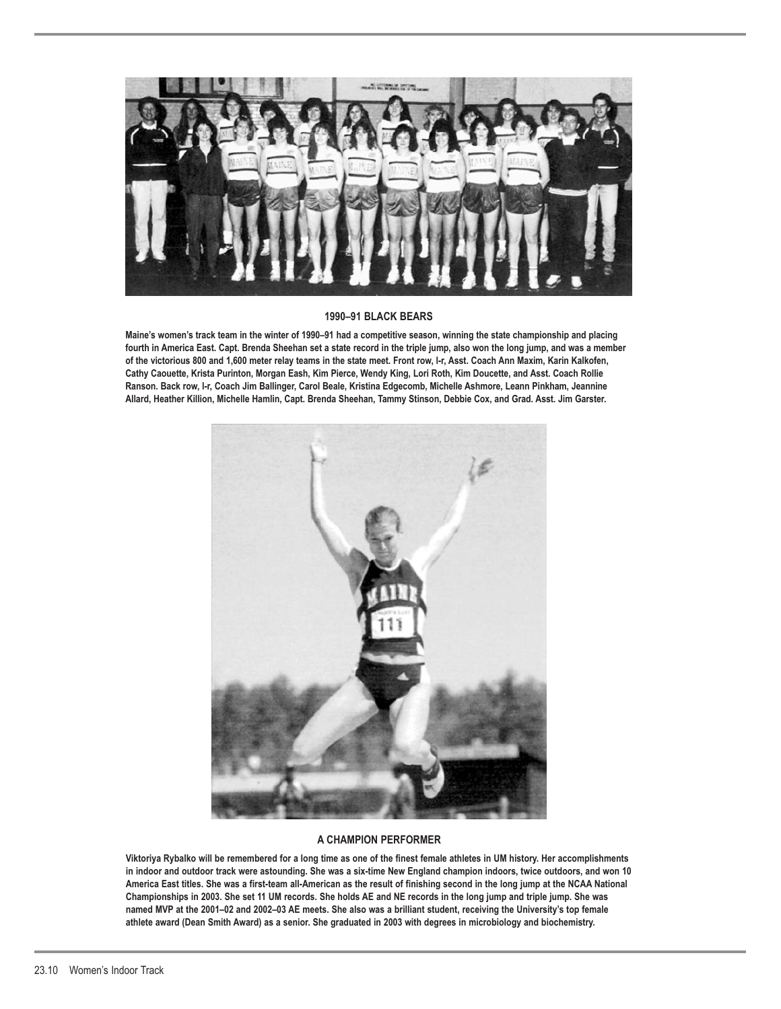

## **1990–91 BLACK BEARS**

**Maine's women's track team in the winter of 1990–91 had a competitive season, winning the state championship and placing fourth in America East. Capt. Brenda Sheehan set a state record in the triple jump, also won the long jump, and was a member of the victorious 800 and 1,600 meter relay teams in the state meet. Front row, l-r, Asst. Coach Ann Maxim, Karin Kalkofen, Cathy Caouette, Krista Purinton, Morgan Eash, Kim Pierce, Wendy King, Lori Roth, Kim Doucette, and Asst. Coach Rollie Ranson. Back row, l-r, Coach Jim Ballinger, Carol Beale, Kristina Edgecomb, Michelle Ashmore, Leann Pinkham, Jeannine Allard, Heather Killion, Michelle Hamlin, Capt. Brenda Sheehan, Tammy Stinson, Debbie Cox, and Grad. Asst. Jim Garster.**



## **A CHAMPION PERFORMER**

**Viktoriya Rybalko will be remembered for a long time as one of the finest female athletes in UM history. Her accomplishments in indoor and outdoor track were astounding. She was a six-time New England champion indoors, twice outdoors, and won 10 America East titles. She was a first-team all-American as the result of finishing second in the long jump at the NCAA National Championships in 2003. She set 11 UM records. She holds AE and NE records in the long jump and triple jump. She was named MVP at the 2001–02 and 2002–03 AE meets. She also was a brilliant student, receiving the University's top female athlete award (Dean Smith Award) as a senior. She graduated in 2003 with degrees in microbiology and biochemistry.**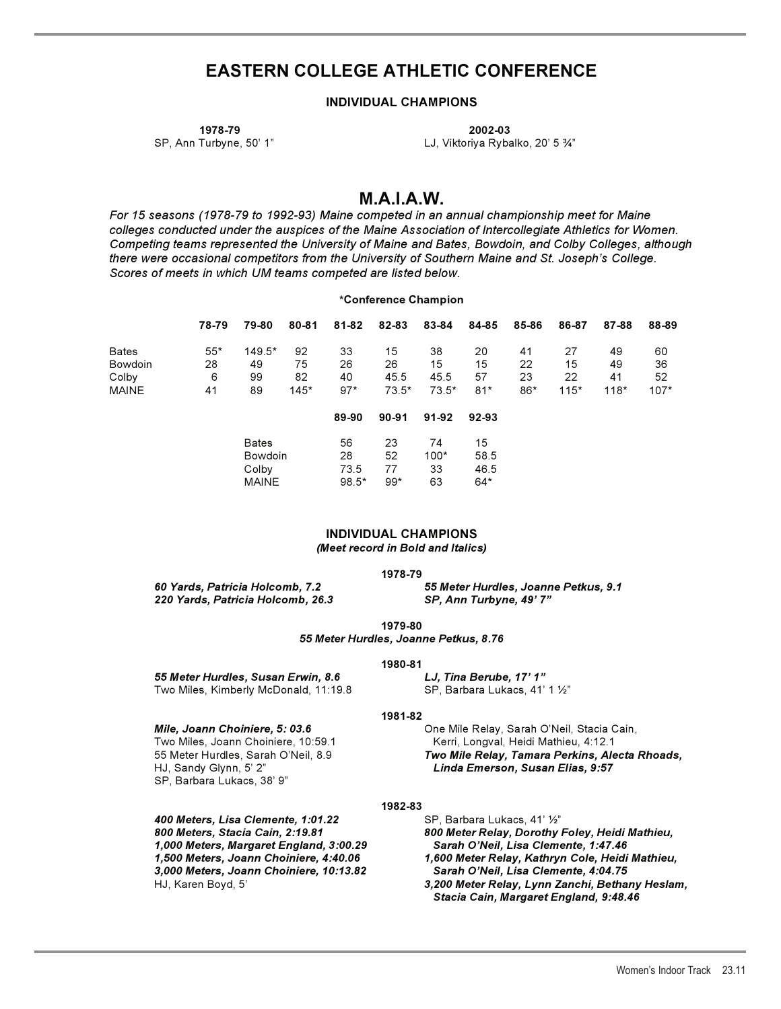## **EASTERN COLLEGE ATHLETIC CONFERENCE**

## **INDIVIDUAL CHAMPIONS**

**1978-79 2002-03**  SP, Ann Turbyne, 50' 1" Cassetting the Case of LJ, Viktoriya Rybalko, 20' 5  $\frac{3}{4}$ "

## **M.A.I.A.W.**

*For 15 seasons (1978-79 to 1992-93) Maine competed in an annual championship meet for Maine colleges conducted under the auspices of the Maine Association of Intercollegiate Athletics for Women. Competing teams represented the University of Maine and Bates, Bowdoin, and Colby Colleges, although there were occasional competitors from the University of Southern Maine and St. Joseph's College. Scores of meets in which UM teams competed are listed below.*

### **\*Conference Champion**

|              | 78-79 | 79-80    | 80-81  | 81-82 | 82-83   | 83-84   | 84-85 | 85-86 | 86-87  | 87-88  | 88-89  |
|--------------|-------|----------|--------|-------|---------|---------|-------|-------|--------|--------|--------|
| <b>Bates</b> | $55*$ | $149.5*$ | 92     | 33    | 15      | 38      | 20    | 41    | 27     | 49     | 60     |
| Bowdoin      | 28    | 49       | 75     | 26    | 26      | 15      | 15    | 22    | 15     | 49     | 36     |
| Colby        | 6     | 99       | 82     | 40    | 45.5    | 45.5    | 57    | 23    | 22     | 41     | 52     |
| <b>MAINE</b> | 41    | 89       | $145*$ | $97*$ | $73.5*$ | $73.5*$ | $81*$ | 86*   | $115*$ | $118*$ | $107*$ |

|         | 89-90   | $90 - 91$ | 91-92  | $92-93$ |
|---------|---------|-----------|--------|---------|
| Bates   | 56      | 23        | 74     | 15      |
| Bowdoin | 28      | 52        | $100*$ | 58.5    |
| Colby   | 73.5    | 77        | 33     | 46.5    |
| MAINE   | $98.5*$ | $99*$     | 63     | $64*$   |

### **INDIVIDUAL CHAMPIONS** *(Meet record in Bold and Italics)*

**1978-79** 

*220 Yards, Patricia Holcomb, 26.3 SP, Ann Turbyne, 49' 7"*

*60 Yards, Patricia Holcomb, 7.2 55 Meter Hurdles, Joanne Petkus, 9.1*

**1979-80** 

*55 Meter Hurdles, Joanne Petkus, 8.76* 

## **1980-81**

*55 Meter Hurdles, Susan Erwin, 8.6 LJ, Tina Berube, 17' 1"*  Two Miles, Kimberly McDonald, 11:19.8

SP, Barbara Lukacs, 41' 1 1/2"

### **1981-82**

*Mile, Joann Choiniere, 5: 03.6* **Christian Choinic Cain, Choinic And Annul Choin**, Sarah O'Neil, Stacia Cain, Two Miles, Joann Choiniere, 10:59.1 Kerri, Longval, Heidi Mathieu, 4:12.1 HJ, Sandy Glynn, 5' 2" *Linda Emerson, Susan Elias, 9:57*  SP, Barbara Lukacs, 38' 9"

400 Meters, Lisa Clemente, 1:01.22 *1,000 Meters, Margaret England, 3:00.29 Sarah O'Neil, Lisa Clemente, 1:47.46 3,000 Meters, Joann Choiniere, 10:13.82 Sarah O'Neil, Lisa Clemente, 4:04.75* 

55 Meter Hurdles, Sarah O'Neil, 8.9 *Two Mile Relay, Tamara Perkins, Alecta Rhoads,* 

## **1982-83**

SP, Barbara Lukacs, 41' 1/2" *800 Meters, Stacia Cain, 2:19.81 800 Meter Relay, Dorothy Foley, Heidi Mathieu, 1,500 Meters, Joann Choiniere, 4:40.06 1,600 Meter Relay, Kathryn Cole, Heidi Mathieu,* HJ, Karen Boyd, 5' *3,200 Meter Relay, Lynn Zanchi, Bethany Heslam, Stacia Cain, Margaret England, 9:48.46*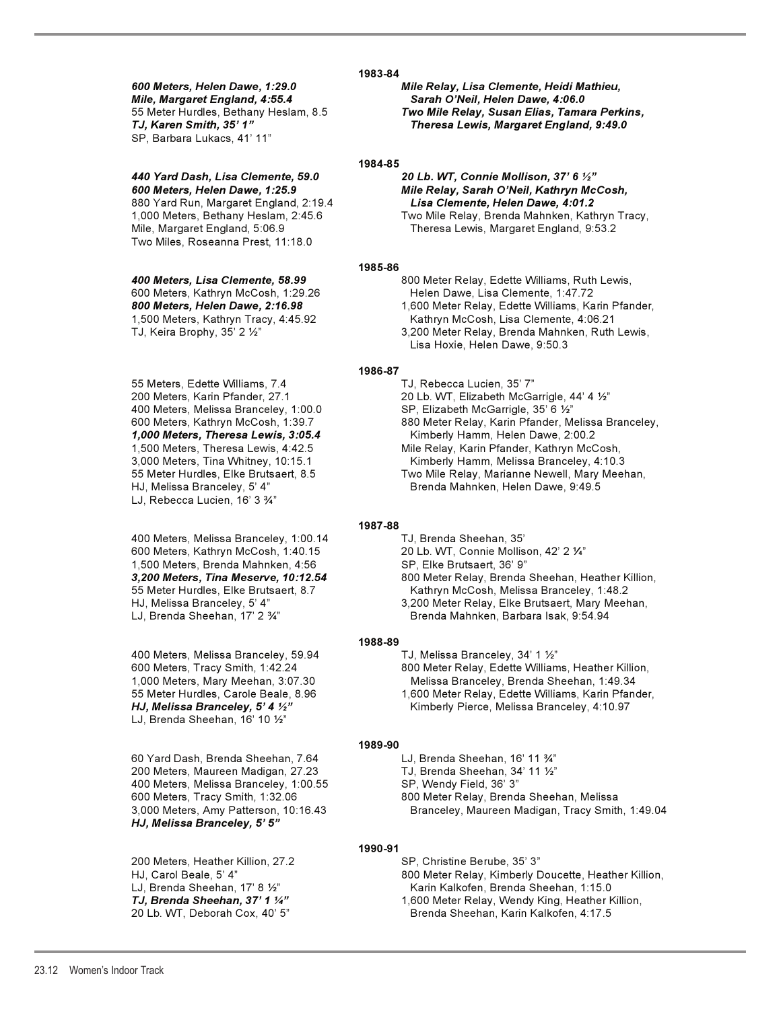*Mile, Margaret England, 4:55.4 Sarah O'Neil, Helen Dawe, 4:06.0* SP, Barbara Lukacs, 41' 11"

## *440 Yard Dash, Lisa Clemente, 59.0 20 Lb. WT, Connie Mollison, 37' 6 -*

Mile, Margaret England, 5:06.9 Theresa Lewis, Margaret England, 9:53.2 Two Miles, Roseanna Prest, 11:18.0

TJ, Keira Brophy,  $35'$  2  $\frac{1}{2}$ "

55 Meters, Edette Williams, 7.4 TJ, Rebecca Lucien, 35' 7" 400 Meters, Melissa Branceley, 1:00.0 HJ, Melissa Branceley, 5' 4" Brenda Mahnken, Helen Dawe, 9:49.5 LJ, Rebecca Lucien, 16' 3 %"

400 Meters, Melissa Branceley, 1:00.14 TJ, Brenda Sheehan, 35' 600 Meters, Kathryn McCosh, 1:40.15 20 Lb. WT, Connie Mollison, 42' 2 1/4" 1,500 Meters, Brenda Mahnken, 4:56 SP, Elke Brutsaert, 36' 9"

400 Meters, Melissa Branceley, 59.94 HJ, Melissa Branceley, 5' 4  $\frac{1}{2}$ " LJ, Brenda Sheehan, 16' 10  $1/2$ "

60 Yard Dash, Brenda Sheehan, 7.64 LJ, Brenda Sheehan, 16' 11  $\frac{3}{4}$ " 200 Meters, Maureen Madigan, 27.23 400 Meters, Melissa Branceley, 1:00.55 SP, Wendy Field, 36' 3"<br>600 Meters, Tracy Smith, 1:32.06 6 800 Meter Relay, Brend *HJ, Melissa Branceley, 5' 5"* 

200 Meters, Heather Killion, 27.2 SP, Christine Berube, 35' 3" LJ, Brenda Sheehan,  $17'$  8  $12''$ 

*600 Meters, Helen Dawe, 1:29.0 Mile Relay, Lisa Clemente, Heidi Mathieu,* 55 Meter Hurdles, Bethany Heslam, 8.5 *Two Mile Relay, Susan Elias, Tamara Perkins, Theresa Lewis, Margaret England, 9:49.0* 

## **1984-85**

20 Lb. WT, Connie Mollison, 37' 6 1/2" *600 Meters, Helen Dawe, 1:25.9 Mile Relay, Sarah O'Neil, Kathryn McCosh,* 880 Yard Run, Margaret England, 2:19.4 *Lisa Clemente, Helen Dawe, 4:01.2*  1,000 Meters, Bethany Heslam, 2:45.6 Two Mile Relay, Brenda Mahnken, Kathryn Tracy,

## **1985-86**

*400 Meters, Lisa Clemente, 58.99* 800 Meter Relay, Edette Williams, Ruth Lewis, 600 Meters, Kathryn McCosh, 1:29.26 Helen Dawe, Lisa Clemente, 1:47.72 *800 Meters, Helen Dawe, 2:16.98* 1,600 Meter Relay, Edette Williams, Karin Pfander, 1,500 Meters, Kathryn Tracy, 4:45.92 Kathryn McCosh, Lisa Clemente, 4:06.21 " 3,200 Meter Relay, Brenda Mahnken, Ruth Lewis, Lisa Hoxie, Helen Dawe, 9:50.3

## **1986-87**

200 Meters, Karin Pfander, 27.1 20 Lb. WT, Elizabeth McGarrigle, 44' 4 -" SP, Elizabeth McGarrigle, 35' 6 1/2" 600 Meters, Kathryn McCosh, 1:39.7 880 Meter Relay, Karin Pfander, Melissa Branceley, *1,000 Meters, Theresa Lewis, 3:05.4* Kimberly Hamm, Helen Dawe, 2:00.2 Mile Relay, Karin Pfander, Kathryn McCosh, 3,000 Meters, Tina Whitney, 10:15.1 Kimberly Hamm, Melissa Branceley, 4:10.3 55 Meter Hurdles, Elke Brutsaert, 8.5 Two Mile Relay, Marianne Newell, Mary Meehan,

## **1987-88**

*3,200 Meters, Tina Meserve, 10:12.54* 800 Meter Relay, Brenda Sheehan, Heather Killion, 55 Meter Hurdles, Elke Brutsaert, 8.7 Kathryn McCosh, Melissa Branceley, 1:48.2 HJ, Melissa Branceley, 5' 4" 3,200 Meter Relay, Elke Brutsaert, Mary Meehan, LJ, Brenda Sheehan, 17' 2 34" Brenda Mahnken, Barbara Isak, 9:54.94

## **1988-89**

TJ, Melissa Branceley, 34' 1 1/2" 600 Meters, Tracy Smith, 1:42.24 800 Meter Relay, Edette Williams, Heather Killion, 1,000 Meters, Mary Meehan, 3:07.30 Melissa Branceley, Brenda Sheehan, 1:49.34 55 Meter Hurdles, Carole Beale, 8.96 1,600 Meter Relay, Edette Williams, Karin Pfander, Kimberly Pierce, Melissa Branceley, 4:10.97

## **1989-90**

TJ, Brenda Sheehan, 34' 11 1/2"

800 Meter Relay, Brenda Sheehan, Melissa 3,000 Meters, Amy Patterson, 10:16.43 Branceley, Maureen Madigan, Tracy Smith, 1:49.04

## **1990-91**

HJ, Carol Beale, 5' 4" 800 Meter Relay, Kimberly Doucette, Heather Killion, Karin Kalkofen, Brenda Sheehan, 1:15.0

*TJ, Brenda Sheehan, 37' 1 "* 1,600 Meter Relay, Wendy King, Heather Killion, 20 Lb. WT, Deborah Cox, 40' 5" Brenda Sheehan, Karin Kalkofen, 4:17.5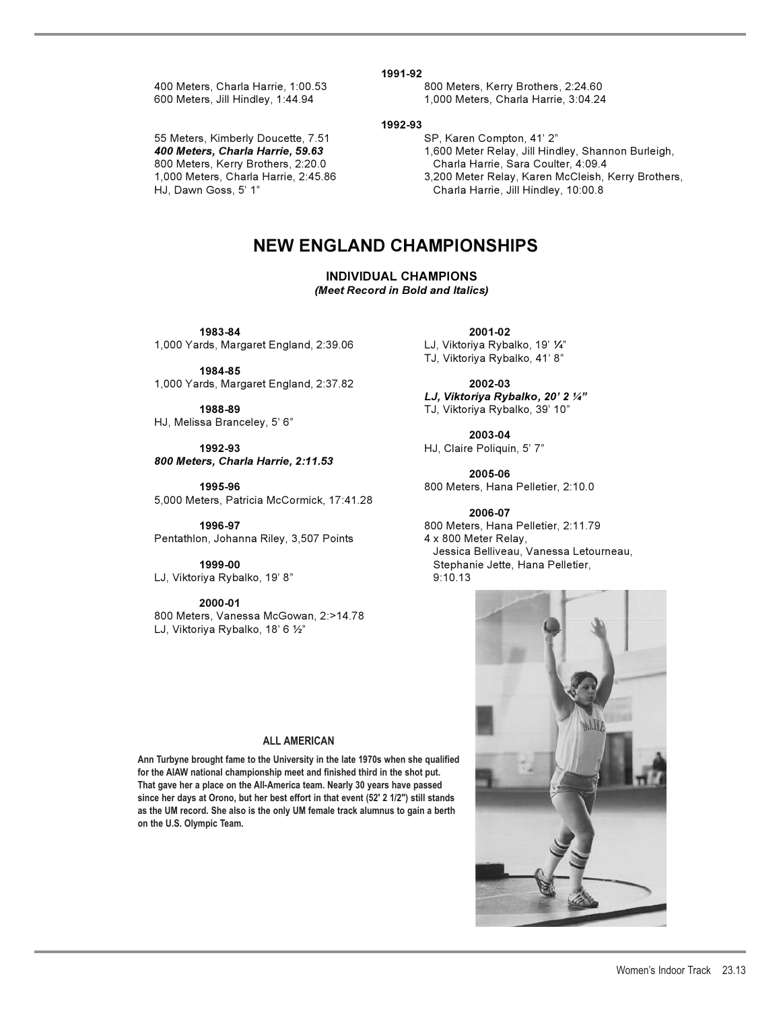55 Meters, Kimberly Doucette, 7.51 SP, Karen Compton, 41' 2" 800 Meters, Kerry Brothers, 2:20.0 Charla Harrie, Sara Coulter, 4:09.4

**1991-92** 

400 Meters, Charla Harrie, 1:00.53 800 Meters, Kerry Brothers, 2:24.60 600 Meters, Jill Hindley, 1:44.94 1,000 Meters, Charla Harrie, 3:04.24

**1992-93** 

*400 Meters, Charla Harrie, 59.63* 1,600 Meter Relay, Jill Hindley, Shannon Burleigh,

3,200 Meter Relay, Karen McCleish, Kerry Brothers, HJ, Dawn Goss, 5' 1" Charla Harrie, Jill Hindley, 10:00.8

## **NEW ENGLAND CHAMPIONSHIPS**

**INDIVIDUAL CHAMPIONS** *(Meet Record in Bold and Italics)*

1,000 Yards, Margaret England, 2:39.06

**1984-85**  1,000 Yards, Margaret England, 2:37.82 **2002-03**

HJ, Melissa Branceley, 5' 6"

 **1992-93** HJ, Claire Poliquin, 5' 7" *800 Meters, Charla Harrie, 2:11.53* 

**1995-96** 800 Meters, Hana Pelletier, 2:10.0 5,000 Meters, Patricia McCormick, 17:41.28

Pentathlon, Johanna Riley, 3,507 Points

LJ, Viktoriya Rybalko, 19' 8" 10.13

**2000-01**  800 Meters, Vanessa McGowan, 2:>14.78

LJ, Viktoriya Rybalko, 18' 6 1/2"

## **ALL AMERICAN**

**Ann Turbyne brought fame to the University in the late 1970s when she qualified for the AIAW national championship meet and finished third in the shot put. That gave her a place on the All-America team. Nearly 30 years have passed since her days at Orono, but her best effort in that event (52' 2 1/2") still stands as the UM record. She also is the only UM female track alumnus to gain a berth on the U.S. Olympic Team.** 

 **1983-84 2001-02**  LJ, Viktoriya Rybalko, 19' 1/4" TJ, Viktoriya Rybalko, 41' 8"

> *LJ, Viktoriya Rybalko, 20' 2 -"* **1988-89** TJ, Viktoriya Rybalko, 39' 10"

> > **2003-04**

**2005-06**

**2006-07 1996-97** 800 Meters, Hana Pelletier, 2:11.79 Jessica Belliveau, Vanessa Letourneau, **1999-00** Stephanie Jette, Hana Pelletier,